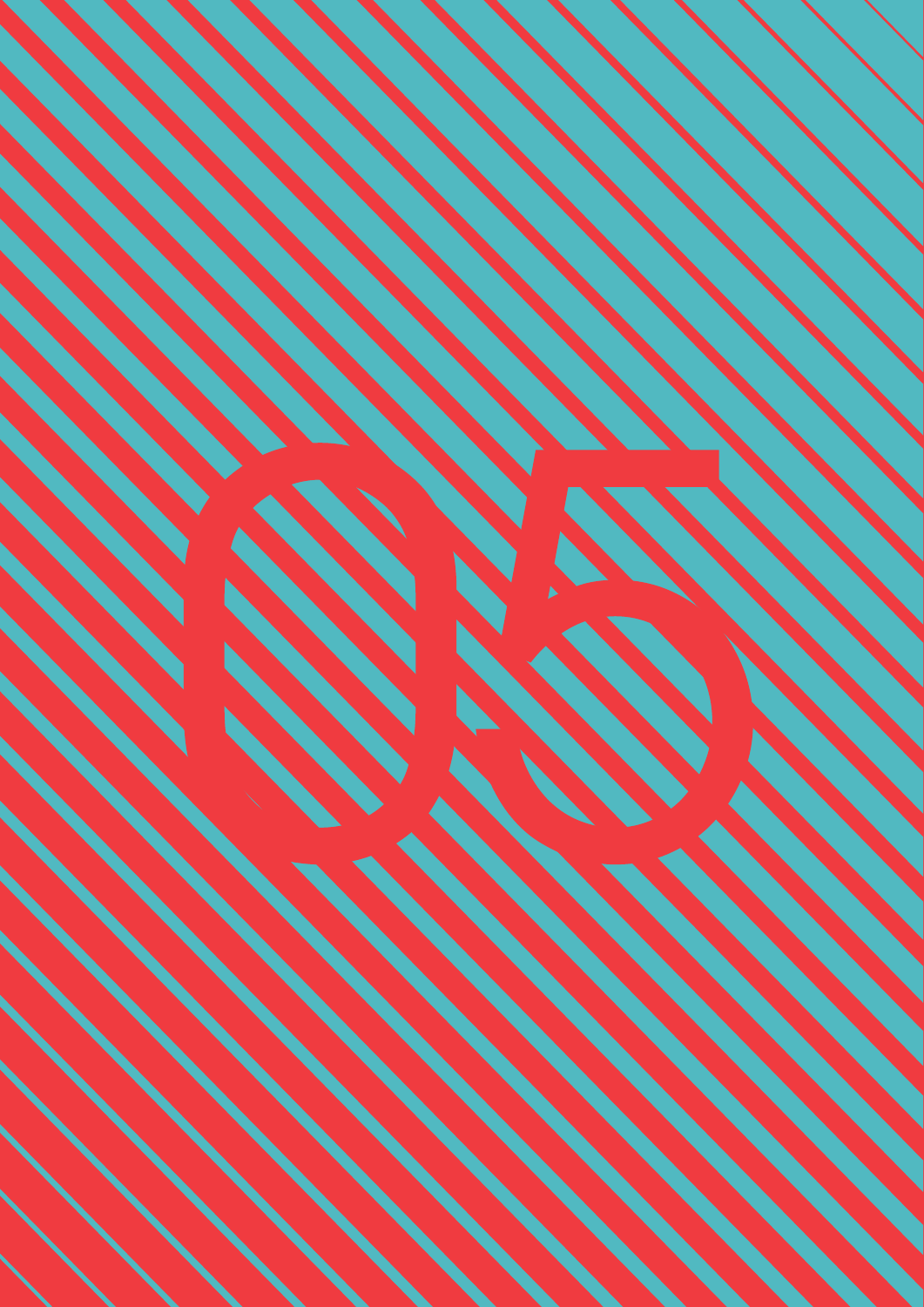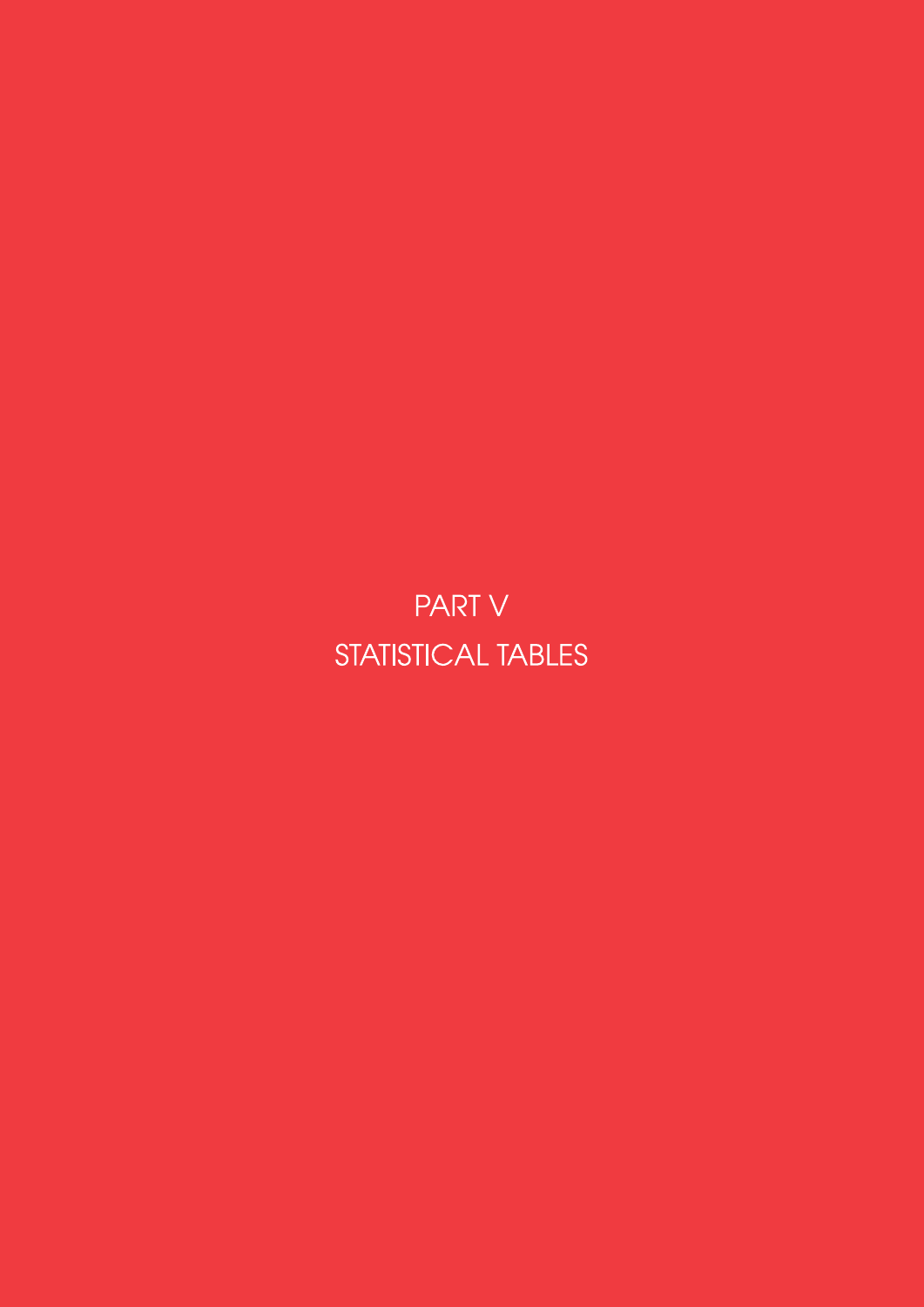**PART V** STATISTICAL TABLES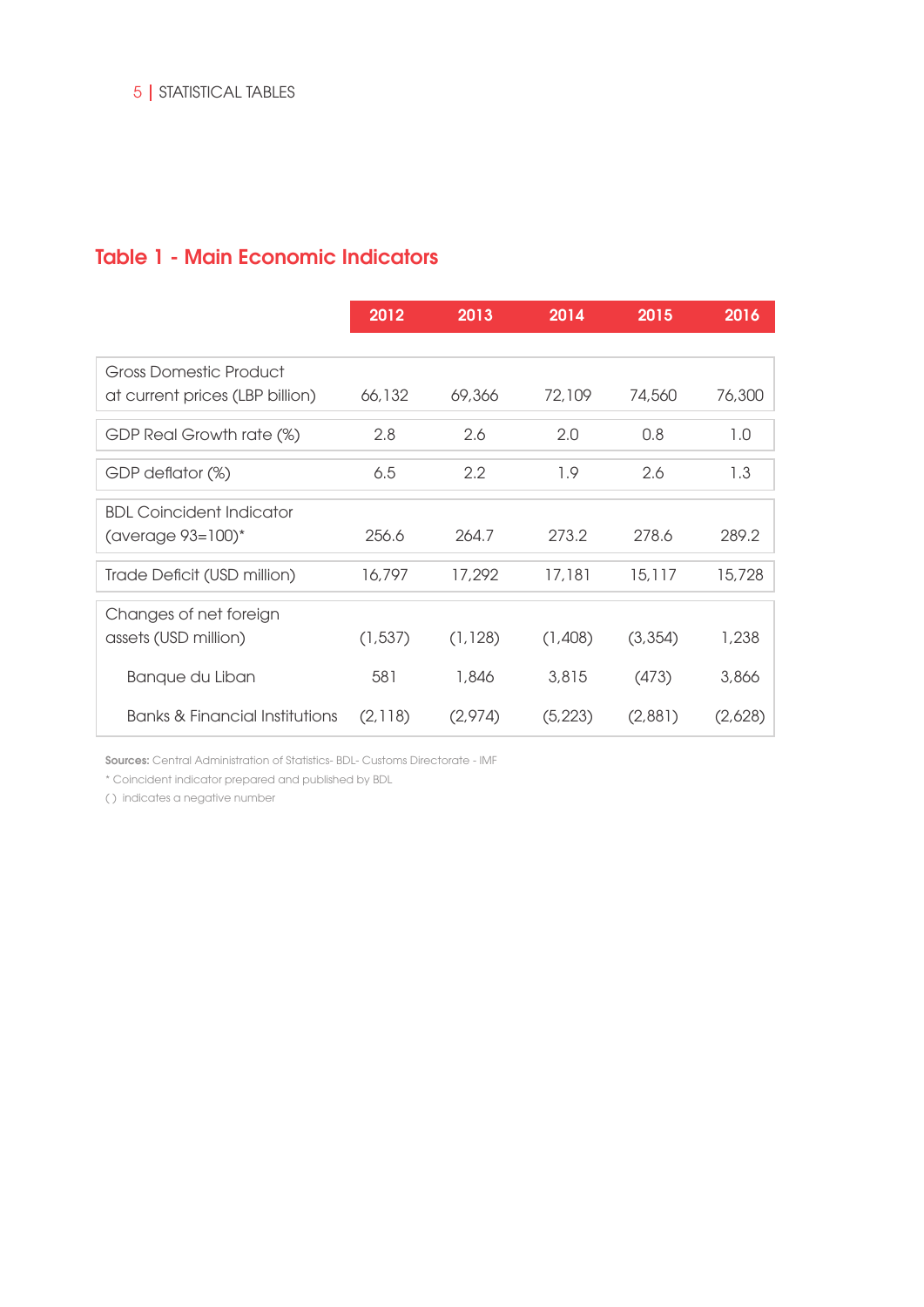### Table 1 - Main Economic Indicators

|                                 | 2012     | 2013     | 2014     | 2015    | 2016    |
|---------------------------------|----------|----------|----------|---------|---------|
| Gross Domestic Product          |          |          |          |         |         |
| at current prices (LBP billion) | 66,132   | 69,366   | 72,109   | 74,560  | 76,300  |
| GDP Real Growth rate (%)        | 2.8      | 2.6      | 2.0      | 0.8     | 1.0     |
| GDP deflator (%)                | 6.5      | 2.2      | 1.9      | 2.6     | 1.3     |
| <b>BDL Coincident Indicator</b> |          |          |          |         |         |
| (average $93=100$ )*            | 256.6    | 264.7    | 273.2    | 278.6   | 289.2   |
| Trade Deficit (USD million)     | 16,797   | 17,292   | 17,181   | 15,117  | 15,728  |
| Changes of net foreign          |          |          |          |         |         |
| assets (USD million)            | (1, 537) | (1, 128) | (1,408)  | (3,354) | 1,238   |
| Banque du Liban                 | 581      | 1,846    | 3,815    | (473)   | 3,866   |
| Banks & Financial Institutions  | (2,118)  | (2,974)  | (5, 223) | (2,881) | (2,628) |

Sources: Central Administration of Statistics- BDL- Customs Directorate - IMF

\* Coincident indicator prepared and published by BDL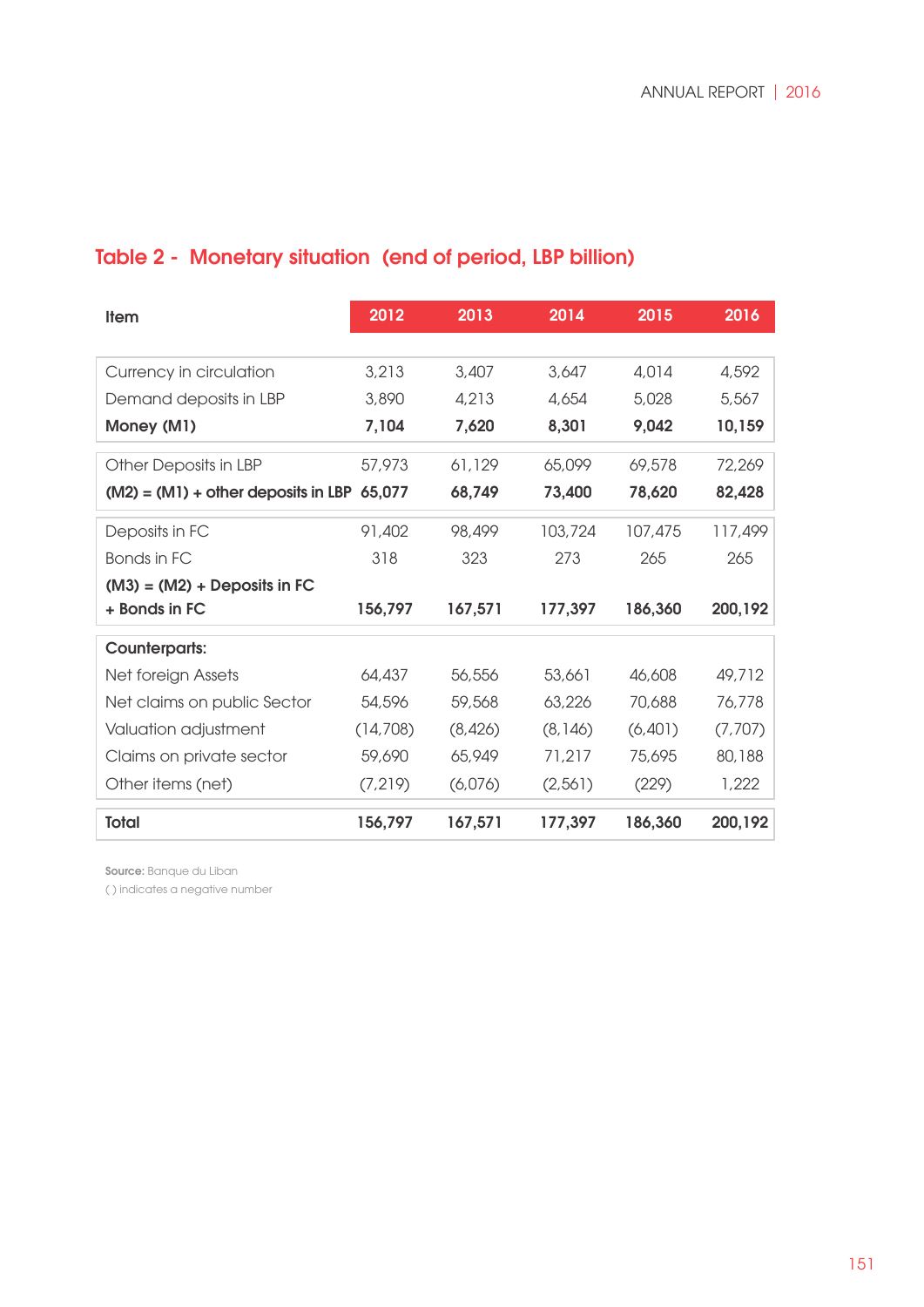# Table 2 - Monetary situation (end of period, LBP billion)

| <b>Item</b>                           | 2012      | 2013    | 2014     | 2015    | 2016     |
|---------------------------------------|-----------|---------|----------|---------|----------|
|                                       |           |         |          |         |          |
| Currency in circulation               | 3,213     | 3,407   | 3,647    | 4,014   | 4,592    |
| Demand deposits in LBP                | 3,890     | 4,213   | 4,654    | 5,028   | 5,567    |
| Money (M1)                            | 7,104     | 7,620   | 8,301    | 9,042   | 10,159   |
| Other Deposits in LBP                 | 57,973    | 61,129  | 65,099   | 69,578  | 72,269   |
| $(M2) = (M1) +$ other deposits in LBP | 65,077    | 68,749  | 73,400   | 78,620  | 82,428   |
| Deposits in FC                        | 91,402    | 98,499  | 103,724  | 107,475 | 117,499  |
| Bonds in FC                           | 318       | 323     | 273      | 265     | 265      |
| $(M3) = (M2) + Deposits in FC$        |           |         |          |         |          |
| + Bonds in FC                         | 156,797   | 167,571 | 177,397  | 186,360 | 200,192  |
| <b>Counterparts:</b>                  |           |         |          |         |          |
| Net foreign Assets                    | 64,437    | 56,556  | 53,661   | 46,608  | 49,712   |
| Net claims on public Sector           | 54,596    | 59,568  | 63,226   | 70,688  | 76,778   |
| Valuation adjustment                  | (14, 708) | (8,426) | (8, 146) | (6,401) | (7,707)  |
| Claims on private sector              | 59,690    | 65,949  | 71,217   | 75,695  | 80,188   |
| Other items (net)                     | (7,219)   | (6,076) | (2,561)  | (229)   | 1,222    |
| <b>Total</b>                          | 156,797   | 167,571 | 177,397  | 186,360 | 200, 192 |

Source: Banque du Liban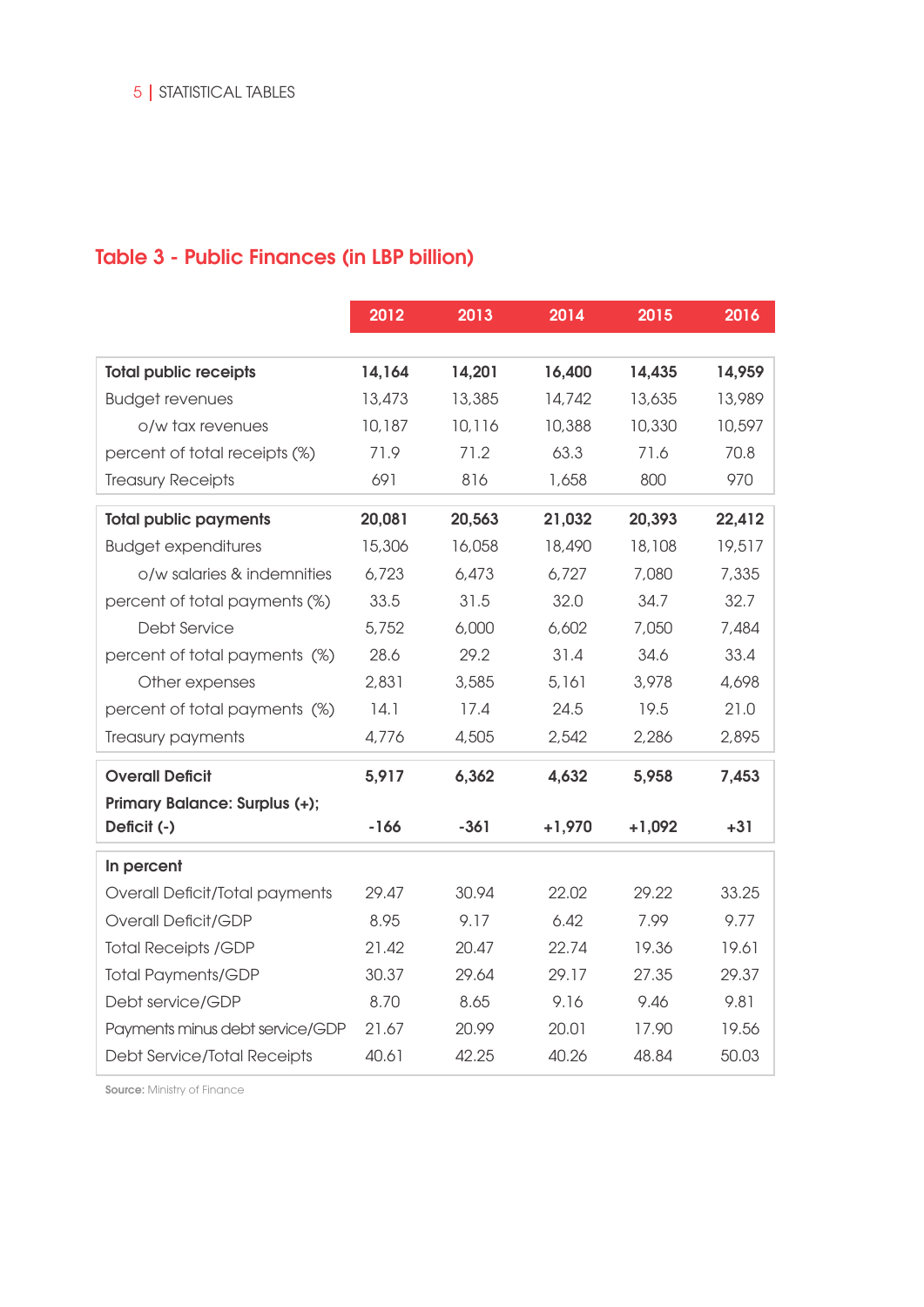## Table 3 - Public Finances (in LBP billion)

|                                 | 2012   | 2013   | 2014     | 2015     | 2016   |
|---------------------------------|--------|--------|----------|----------|--------|
|                                 |        |        |          |          |        |
| <b>Total public receipts</b>    | 14,164 | 14,201 | 16,400   | 14,435   | 14,959 |
| <b>Budget revenues</b>          | 13,473 | 13,385 | 14,742   | 13,635   | 13,989 |
| o/w tax revenues                | 10,187 | 10,116 | 10,388   | 10,330   | 10,597 |
| percent of total receipts (%)   | 71.9   | 71.2   | 63.3     | 71.6     | 70.8   |
| <b>Treasury Receipts</b>        | 691    | 816    | 1,658    | 800      | 970    |
| <b>Total public payments</b>    | 20,081 | 20,563 | 21,032   | 20,393   | 22,412 |
| <b>Budget expenditures</b>      | 15,306 | 16,058 | 18,490   | 18,108   | 19,517 |
| o/w salaries & indemnities      | 6,723  | 6,473  | 6,727    | 7,080    | 7,335  |
| percent of total payments (%)   | 33.5   | 31.5   | 32.0     | 34.7     | 32.7   |
| <b>Debt Service</b>             | 5,752  | 6,000  | 6,602    | 7,050    | 7,484  |
| percent of total payments (%)   | 28.6   | 29.2   | 31.4     | 34.6     | 33.4   |
| Other expenses                  | 2,831  | 3,585  | 5,161    | 3,978    | 4,698  |
| percent of total payments (%)   | 14.1   | 17.4   | 24.5     | 19.5     | 21.0   |
| Treasury payments               | 4,776  | 4,505  | 2,542    | 2,286    | 2,895  |
| <b>Overall Deficit</b>          | 5,917  | 6,362  | 4,632    | 5,958    | 7,453  |
| Primary Balance: Surplus (+);   |        |        |          |          |        |
| Deficit (-)                     | $-166$ | $-361$ | $+1,970$ | $+1,092$ | $+31$  |
| In percent                      |        |        |          |          |        |
| Overall Deficit/Total payments  | 29.47  | 30.94  | 22.02    | 29.22    | 33.25  |
| Overall Deficit/GDP             | 8.95   | 9.17   | 6.42     | 7.99     | 9.77   |
| <b>Total Receipts /GDP</b>      | 21.42  | 20.47  | 22.74    | 19.36    | 19.61  |
| <b>Total Payments/GDP</b>       | 30.37  | 29.64  | 29.17    | 27.35    | 29.37  |
| Debt service/GDP                | 8.70   | 8.65   | 9.16     | 9.46     | 9.81   |
| Payments minus debt service/GDP | 21.67  | 20.99  | 20.01    | 17.90    | 19.56  |
| Debt Service/Total Receipts     | 40.61  | 42.25  | 40.26    | 48.84    | 50.03  |

Source: Ministry of Finance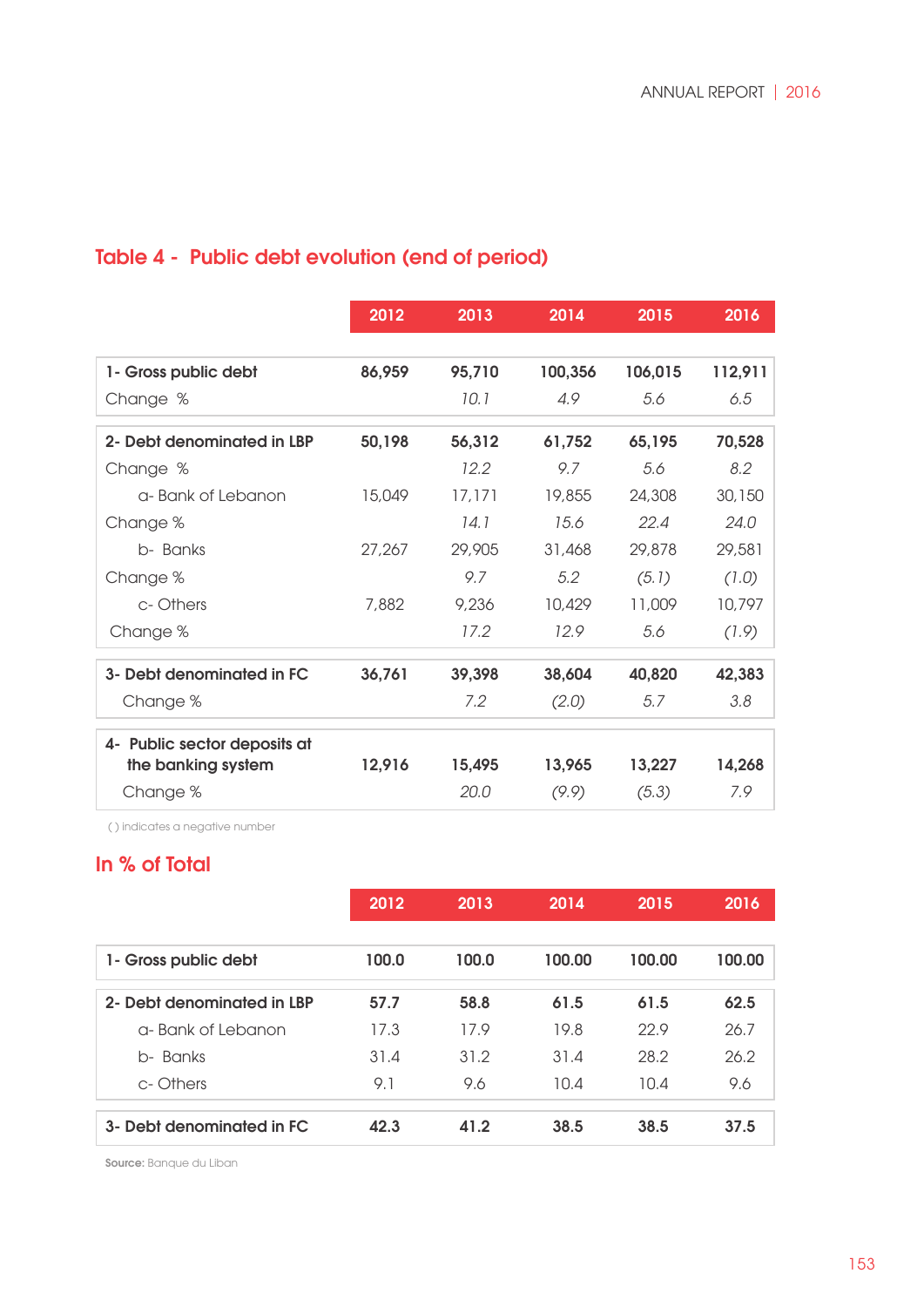# Table 4 - Public debt evolution (end of period)

|                              | 2012   | 2013   | 2014    | 2015    | 2016    |
|------------------------------|--------|--------|---------|---------|---------|
|                              |        |        |         |         |         |
| 1- Gross public debt         | 86,959 | 95,710 | 100,356 | 106,015 | 112,911 |
| Change %                     |        | 10.1   | 4.9     | 5.6     | 6.5     |
| 2- Debt denominated in LBP   | 50,198 | 56,312 | 61,752  | 65,195  | 70,528  |
| Change %                     |        | 12.2   | 9.7     | 5.6     | 8.2     |
| a-Bank of Lebanon            | 15,049 | 17,171 | 19,855  | 24,308  | 30,150  |
| Change %                     |        | 14.1   | 15.6    | 22.4    | 24.0    |
| b- Banks                     | 27,267 | 29,905 | 31,468  | 29,878  | 29,581  |
| Change %                     |        | 9.7    | 5.2     | (5.1)   | (1.0)   |
| c-Others                     | 7,882  | 9,236  | 10,429  | 11,009  | 10,797  |
| Change %                     |        | 17.2   | 12.9    | 5.6     | (1.9)   |
| 3- Debt denominated in FC    | 36,761 | 39,398 | 38,604  | 40,820  | 42,383  |
| Change %                     |        | 7.2    | (2.0)   | 5.7     | 3.8     |
| 4- Public sector deposits at |        |        |         |         |         |
| the banking system           | 12,916 | 15,495 | 13,965  | 13,227  | 14,268  |
| Change %                     |        | 20.0   | (9.9)   | (5.3)   | 7.9     |

( ) indicates a negative number

## In % of Total

|                            | 2012  | 2013  | 2014   | 2015   | 2016   |
|----------------------------|-------|-------|--------|--------|--------|
|                            |       |       |        |        |        |
| 1- Gross public debt       | 100.0 | 100.0 | 100.00 | 100.00 | 100.00 |
| 2- Debt denominated in LBP | 57.7  | 58.8  | 61.5   | 61.5   | 62.5   |
| a-Bank of Lebanon          | 17.3  | 17.9  | 19.8   | 22.9   | 26.7   |
| Banks<br>h-                | 31.4  | 31.2  | 31.4   | 28.2   | 26.2   |
| c-Others                   | 9.1   | 9.6   | 10.4   | 10.4   | 9.6    |
| 3- Debt denominated in FC  | 42.3  | 41.2  | 38.5   | 38.5   | 37.5   |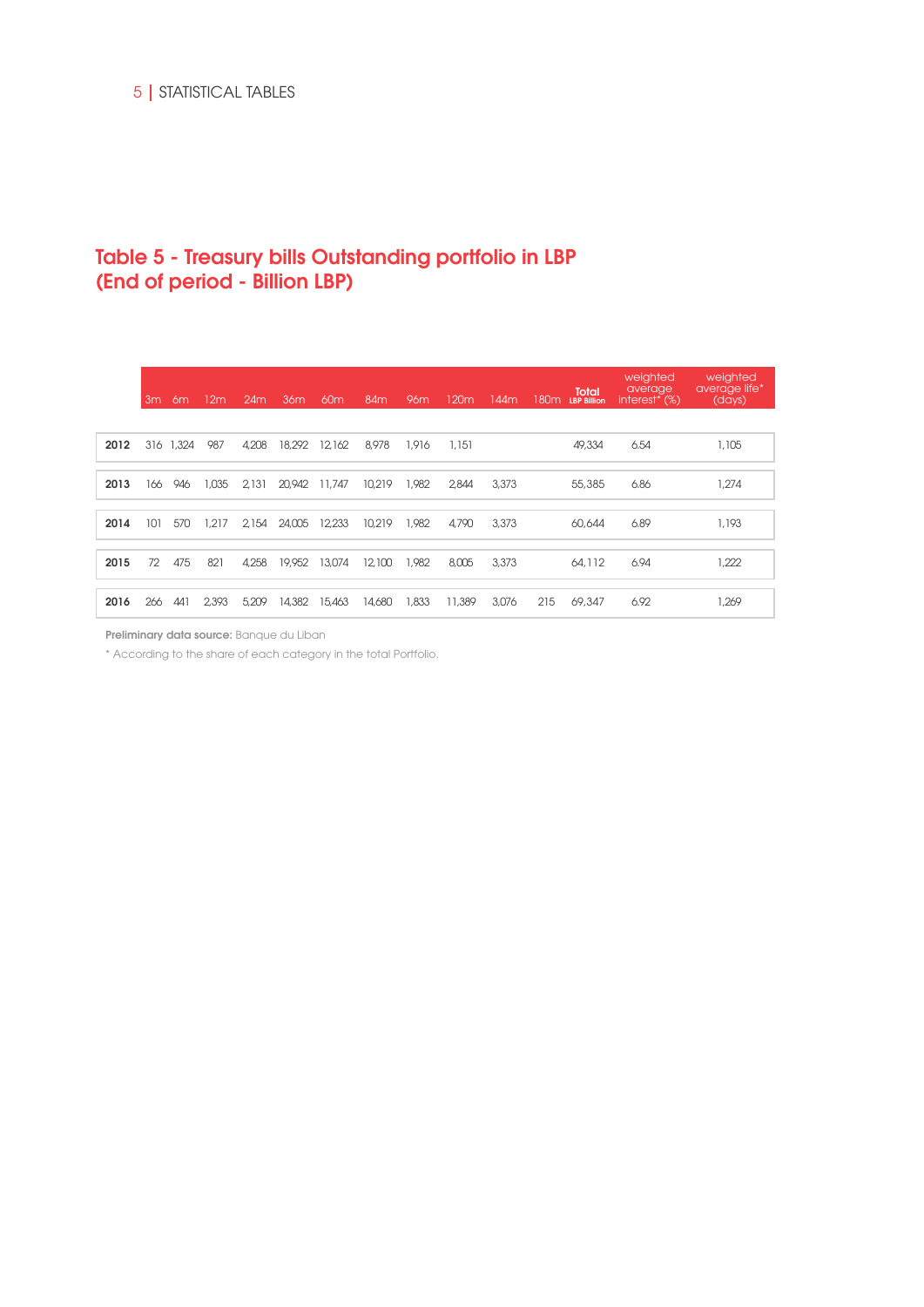## Table 5 - Treasury bills Outstanding portfolio in LBP (End of period - Billion LBP)

|      | 3 <sub>m</sub> | 6m    | 12 <sub>m</sub> | 24m   | 36 <sub>m</sub> | 60 <sub>m</sub> | 84 <sub>m</sub> | 96m   | 120m   | 144m  | 180m | <b>Total</b><br><b>LBP Billion</b> | weighted<br>average,<br>interest <sup>*</sup> (%) | weighted<br>average life*<br>(days) |
|------|----------------|-------|-----------------|-------|-----------------|-----------------|-----------------|-------|--------|-------|------|------------------------------------|---------------------------------------------------|-------------------------------------|
| 2012 | 316            | 1,324 | 987             | 4.208 | 18,292          | 12.162          | 8,978           | 1,916 | 1.151  |       |      | 49,334                             | 6.54                                              | 1,105                               |
| 2013 | 166            | 946   | 1,035           | 2.131 | 20,942 11,747   |                 | 10.219          | 1,982 | 2.844  | 3,373 |      | 55,385                             | 6.86                                              | 1,274                               |
| 2014 | 101            | 570   | 1,217           | 2154  | 24,005          | 12.233          | 10.219          | 1,982 | 4,790  | 3,373 |      | 60,644                             | 6.89                                              | 1,193                               |
| 2015 | 72             | 475   | 821             | 4.258 | 19,952          | 13,074          | 12,100          | 1,982 | 8,005  | 3,373 |      | 64,112                             | 6.94                                              | 1.222                               |
| 2016 | 266            | 441   | 2.393           | 5,209 | 14,382          | 15,463          | 14,680          | 1,833 | 11,389 | 3,076 | 215  | 69,347                             | 6.92                                              | 1,269                               |

Preliminary data source: Banque du Liban

\* According to the share of each category in the total Portfolio.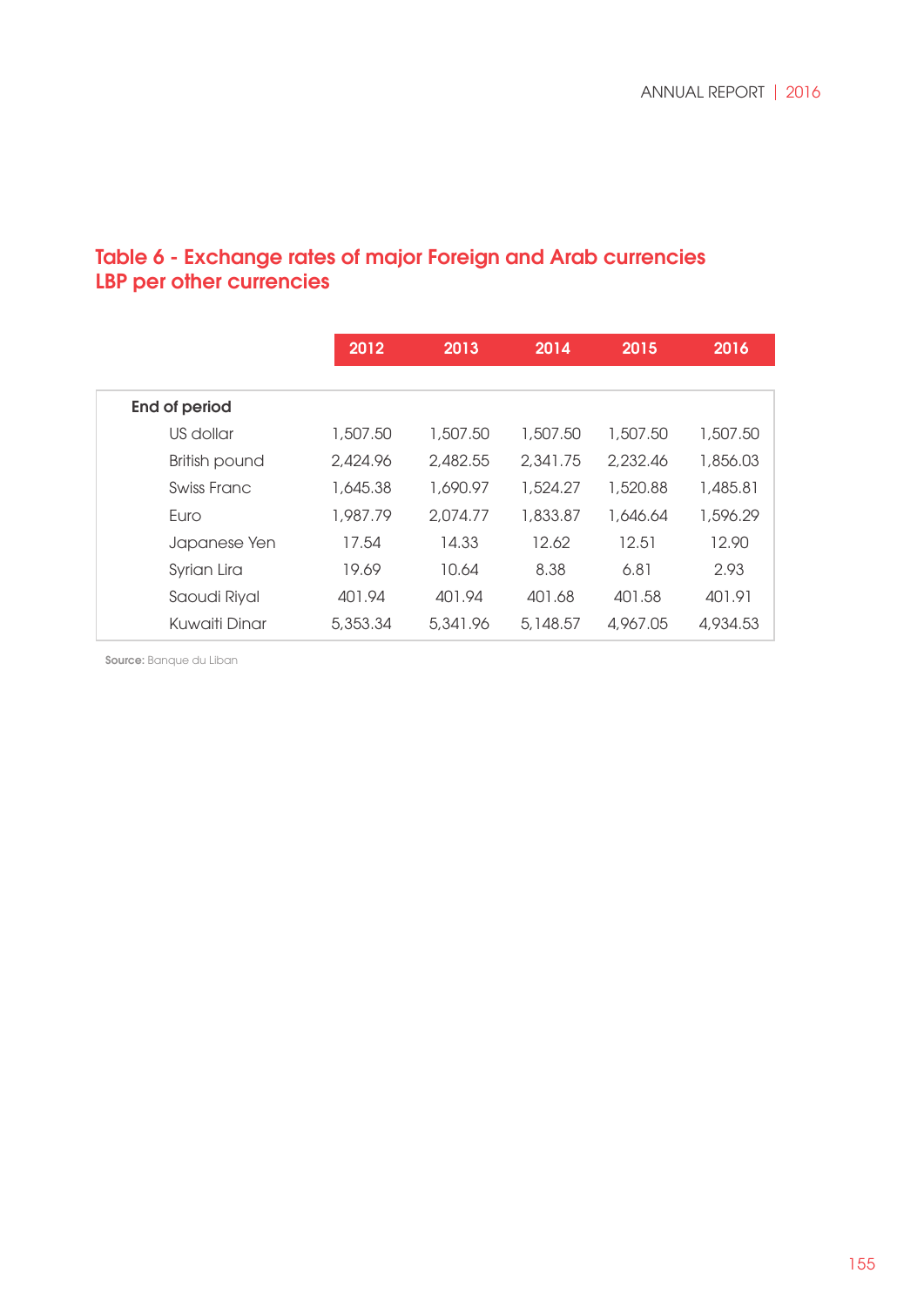## Table 6 - Exchange rates of major Foreign and Arab currencies LBP per other currencies

|                      | 2012     | 2013     | 2014       | 2015     | 2016     |
|----------------------|----------|----------|------------|----------|----------|
|                      |          |          |            |          |          |
| <b>End of period</b> |          |          |            |          |          |
| US dollar            | 1,507.50 | 1,507.50 | 1,507.50   | 1,507.50 | 1,507.50 |
| British pound        | 2,424.96 | 2,482.55 | 2,341.75   | 2,232,46 | 1,856.03 |
| Swiss Franc          | 1.645.38 | 1,690.97 | 1,524.27   | 1,520,88 | 1,485.81 |
| Euro                 | 1,987.79 | 2,074.77 | 1,833,87   | 1.646.64 | 1,596.29 |
| Japanese Yen         | 17.54    | 14.33    | 12.62      | 12.51    | 12.90    |
| Syrian Lira          | 19.69    | 10.64    | 8.38       | 6.81     | 2.93     |
| Saoudi Riyal         | 401.94   | 401.94   | 401.68     | 401.58   | 401.91   |
| Kuwaiti Dinar        | 5,353.34 | 5,341.96 | 5, 148, 57 | 4.967.05 | 4,934.53 |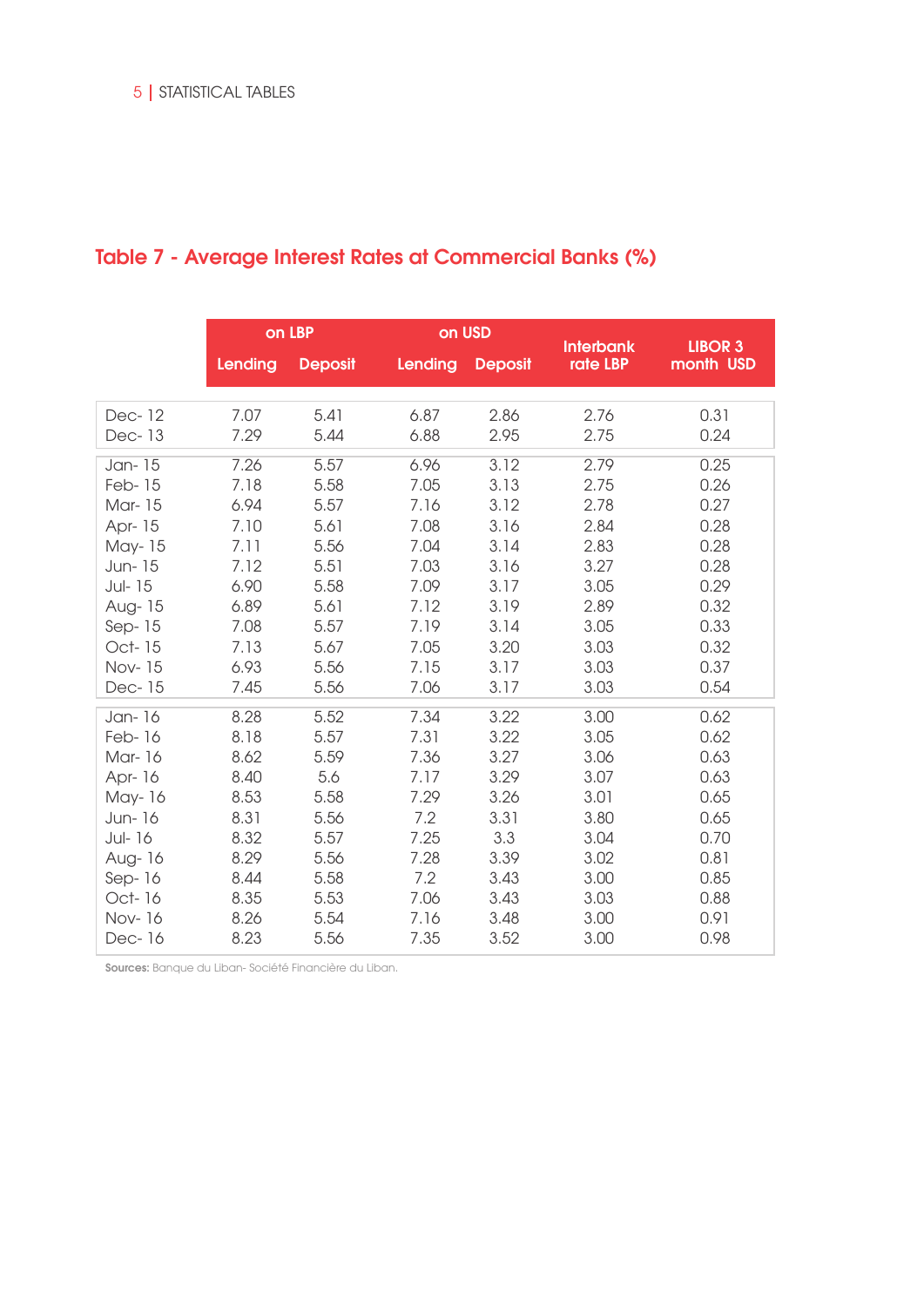|                  |              | on LBP         | on USD       |                | <b>Interbank</b> | <b>LIBOR 3</b> |
|------------------|--------------|----------------|--------------|----------------|------------------|----------------|
|                  | Lending      | <b>Deposit</b> | Lending      | <b>Deposit</b> | rate LBP         | month USD      |
| Dec-12<br>Dec-13 | 7.07<br>7.29 | 5.41<br>5.44   | 6.87<br>6.88 | 2.86<br>2.95   | 2.76<br>2.75     | 0.31<br>0.24   |
|                  |              |                |              |                |                  |                |
| Jan-15           | 7.26         | 5.57           | 6.96         | 3.12           | 2.79             | 0.25           |
| Feb-15           | 7.18         | 5.58           | 7.05         | 3.13           | 2.75             | 0.26           |
| Mar-15           | 6.94         | 5.57           | 7.16         | 3.12           | 2.78             | 0.27           |
| Apr- 15          | 7.10         | 5.61           | 7.08         | 3.16           | 2.84             | 0.28           |
| May-15           | 7.11         | 5.56           | 7.04         | 3.14           | 2.83             | 0.28           |
| Jun-15           | 7.12         | 5.51           | 7.03         | 3.16           | 3.27             | 0.28           |
| Jul-15           | 6.90         | 5.58           | 7.09         | 3.17           | 3.05             | 0.29           |
| Aug-15           | 6.89         | 5.61           | 7.12         | 3.19           | 2.89             | 0.32           |
| Sep $-15$        | 7.08         | 5.57           | 7.19         | 3.14           | 3.05             | 0.33           |
| Oct-15           | 7.13         | 5.67           | 7.05         | 3.20           | 3.03             | 0.32           |
| Nov-15           | 6.93         | 5.56           | 7.15         | 3.17           | 3.03             | 0.37           |
| Dec-15           | 7.45         | 5.56           | 7.06         | 3.17           | 3.03             | 0.54           |
| Jan-16           | 8.28         | 5.52           | 7.34         | 3.22           | 3.00             | 0.62           |
| Feb-16           | 8.18         | 5.57           | 7.31         | 3.22           | 3.05             | 0.62           |
| Mar-16           | 8.62         | 5.59           | 7.36         | 3.27           | 3.06             | 0.63           |
| Apr- 16          | 8.40         | 5.6            | 7.17         | 3.29           | 3.07             | 0.63           |
| May-16           | 8.53         | 5.58           | 7.29         | 3.26           | 3.01             | 0.65           |
| Jun-16           | 8.31         | 5.56           | 7.2          | 3.31           | 3.80             | 0.65           |
| Jul-16           | 8.32         | 5.57           | 7.25         | 3.3            | 3.04             | 0.70           |
| Aug-16           | 8.29         | 5.56           | 7.28         | 3.39           | 3.02             | 0.81           |
| $Sep-16$         | 8.44         | 5.58           | 7.2          | 3.43           | 3.00             | 0.85           |
| Oct-16           | 8.35         | 5.53           | 7.06         | 3.43           | 3.03             | 0.88           |
| Nov-16           | 8.26         | 5.54           | 7.16         | 3.48           | 3.00             | 0.91           |
| Dec-16           | 8.23         | 5.56           | 7.35         | 3.52           | 3.00             | 0.98           |

# Table 7 - Average Interest Rates at Commercial Banks (%)

Sources: Banque du Liban- Société Financière du Liban.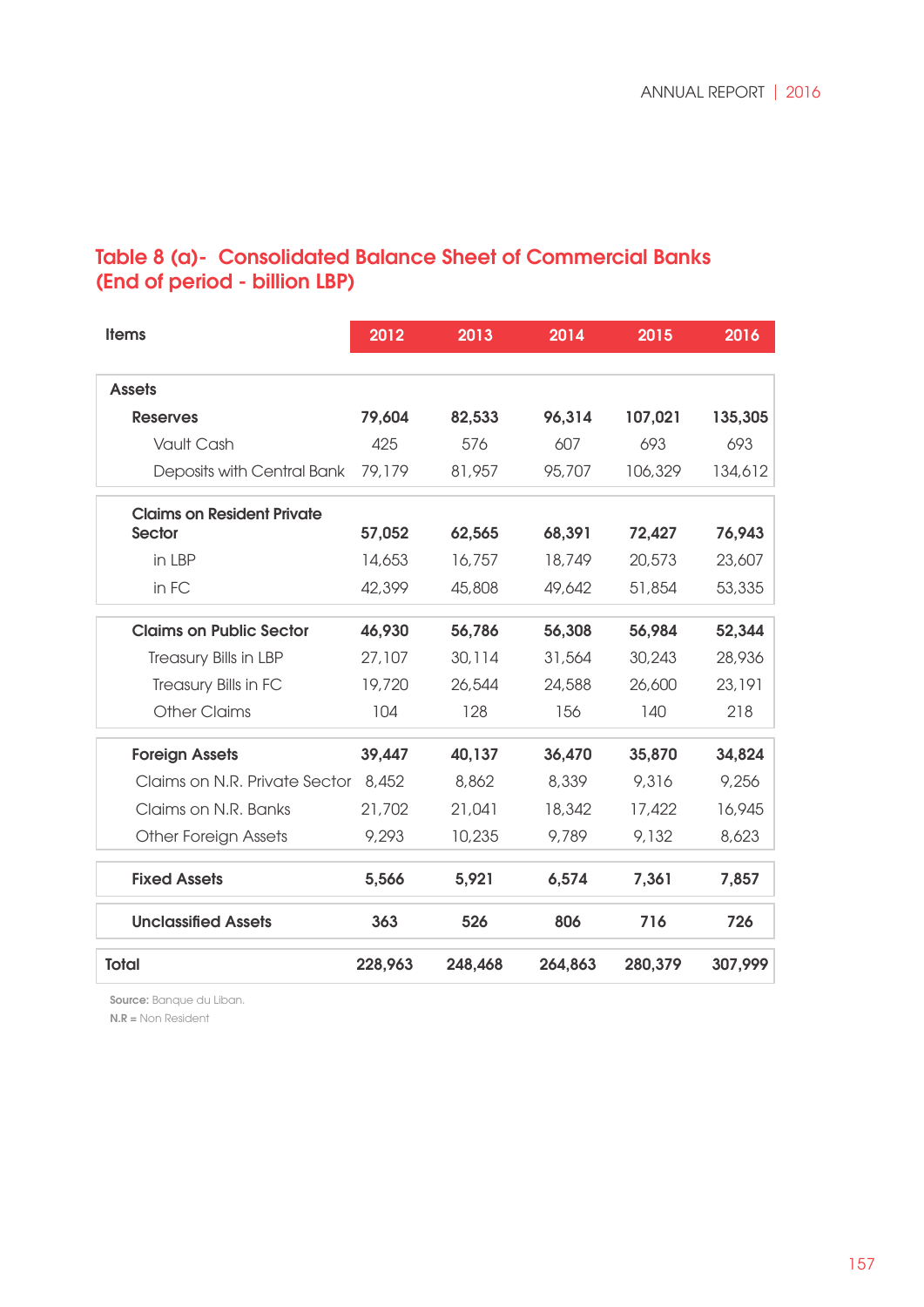## Table 8 (a)- Consolidated Balance Sheet of Commercial Banks (End of period - billion LBP)

| <b>Items</b>                        | 2012    | 2013    | 2014    | 2015    | 2016    |
|-------------------------------------|---------|---------|---------|---------|---------|
|                                     |         |         |         |         |         |
| <b>Assets</b>                       |         |         |         |         |         |
| <b>Reserves</b>                     | 79,604  | 82,533  | 96,314  | 107,021 | 135,305 |
| Vault Cash                          | 425     | 576     | 607     | 693     | 693     |
| Deposits with Central Bank          | 79,179  | 81,957  | 95,707  | 106,329 | 134,612 |
| <b>Claims on Resident Private</b>   |         |         |         |         |         |
| <b>Sector</b>                       | 57,052  | 62,565  | 68,391  | 72,427  | 76,943  |
| in LBP                              | 14,653  | 16,757  | 18,749  | 20,573  | 23,607  |
| in FC                               | 42,399  | 45,808  | 49,642  | 51,854  | 53,335  |
| <b>Claims on Public Sector</b>      | 46,930  | 56,786  | 56,308  | 56,984  | 52,344  |
| Treasury Bills in LBP               | 27,107  | 30,114  | 31,564  | 30,243  | 28,936  |
| Treasury Bills in FC                | 19,720  | 26,544  | 24,588  | 26,600  | 23,191  |
| <b>Other Claims</b>                 | 104     | 128     | 156     | 140     | 218     |
| <b>Foreign Assets</b>               | 39,447  | 40,137  | 36,470  | 35,870  | 34,824  |
| Claims on N.R. Private Sector 8,452 |         | 8,862   | 8,339   | 9,316   | 9,256   |
| Claims on N.R. Banks                | 21,702  | 21,041  | 18,342  | 17,422  | 16,945  |
| Other Foreign Assets                | 9,293   | 10,235  | 9,789   | 9,132   | 8,623   |
| <b>Fixed Assets</b>                 | 5,566   | 5,921   | 6,574   | 7,361   | 7,857   |
| <b>Unclassified Assets</b>          | 363     | 526     | 806     | 716     | 726     |
| <b>Total</b>                        | 228,963 | 248,468 | 264,863 | 280,379 | 307,999 |

Source: Banque du Liban.

N.R = Non Resident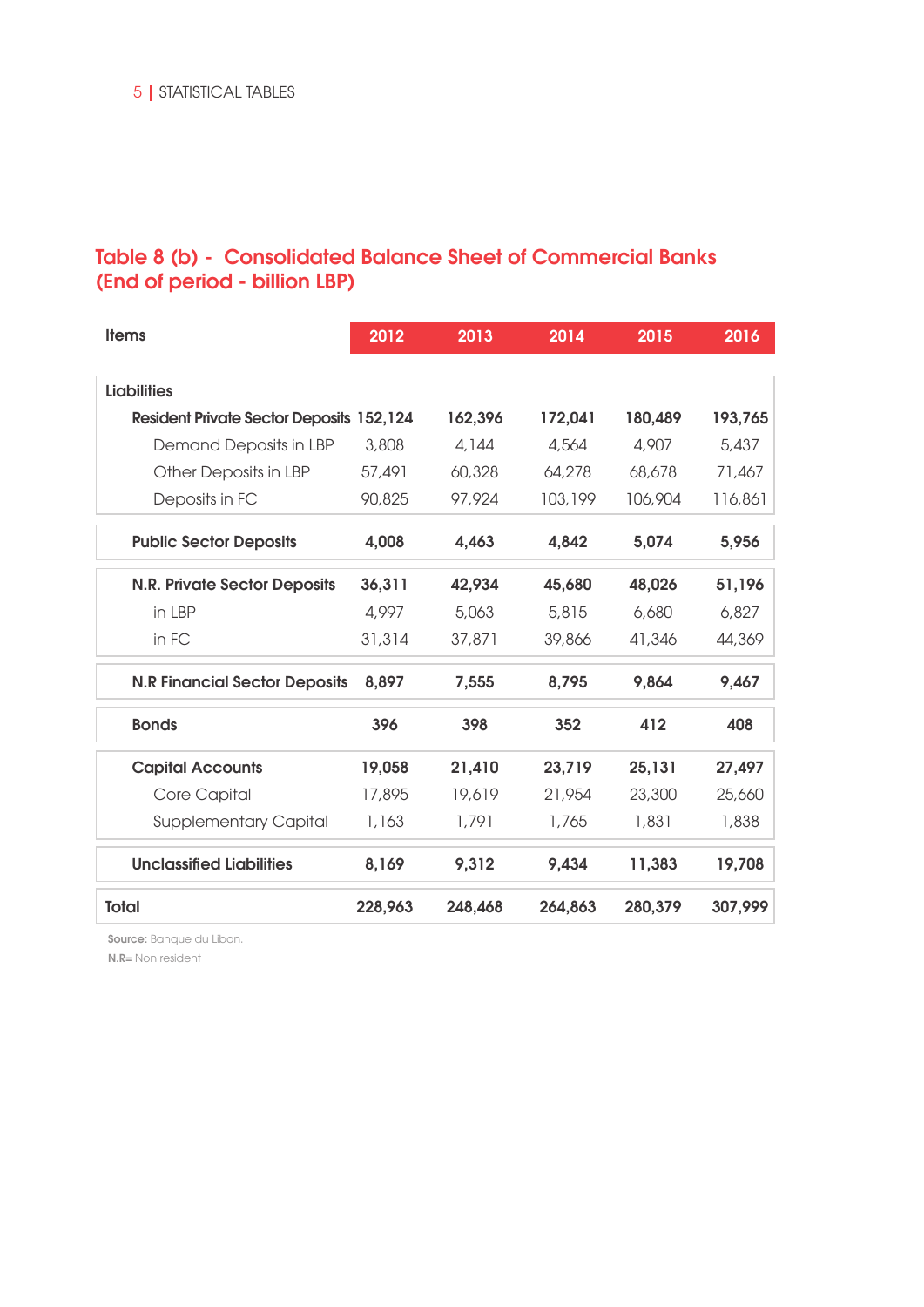## Table 8 (b) - Consolidated Balance Sheet of Commercial Banks (End of period - billion LBP)

| <b>Items</b>                                    | 2012    | 2013    | 2014    | 2015    | 2016    |
|-------------------------------------------------|---------|---------|---------|---------|---------|
| <b>Liabilities</b>                              |         |         |         |         |         |
|                                                 |         |         |         |         |         |
| <b>Resident Private Sector Deposits 152,124</b> |         | 162,396 | 172,041 | 180,489 | 193,765 |
| Demand Deposits in LBP                          | 3,808   | 4,144   | 4,564   | 4,907   | 5,437   |
| Other Deposits in LBP                           | 57,491  | 60,328  | 64,278  | 68,678  | 71,467  |
| Deposits in FC                                  | 90,825  | 97,924  | 103,199 | 106,904 | 116,861 |
| <b>Public Sector Deposits</b>                   | 4,008   | 4,463   | 4,842   | 5,074   | 5,956   |
| <b>N.R. Private Sector Deposits</b>             | 36,311  | 42,934  | 45,680  | 48,026  | 51,196  |
| in LBP                                          | 4,997   | 5,063   | 5,815   | 6,680   | 6,827   |
| in FC                                           | 31,314  | 37,871  | 39,866  | 41,346  | 44,369  |
| <b>N.R Financial Sector Deposits</b>            | 8,897   | 7,555   | 8,795   | 9,864   | 9,467   |
| <b>Bonds</b>                                    | 396     | 398     | 352     | 412     | 408     |
| <b>Capital Accounts</b>                         | 19,058  | 21,410  | 23,719  | 25,131  | 27,497  |
| Core Capital                                    | 17,895  | 19,619  | 21,954  | 23,300  | 25,660  |
| <b>Supplementary Capital</b>                    | 1,163   | 1,791   | 1,765   | 1,831   | 1,838   |
| <b>Unclassified Liabilities</b>                 | 8,169   | 9,312   | 9,434   | 11,383  | 19,708  |
| <b>Total</b>                                    | 228,963 | 248,468 | 264,863 | 280,379 | 307,999 |

Source: Banque du Liban.

N.R= Non resident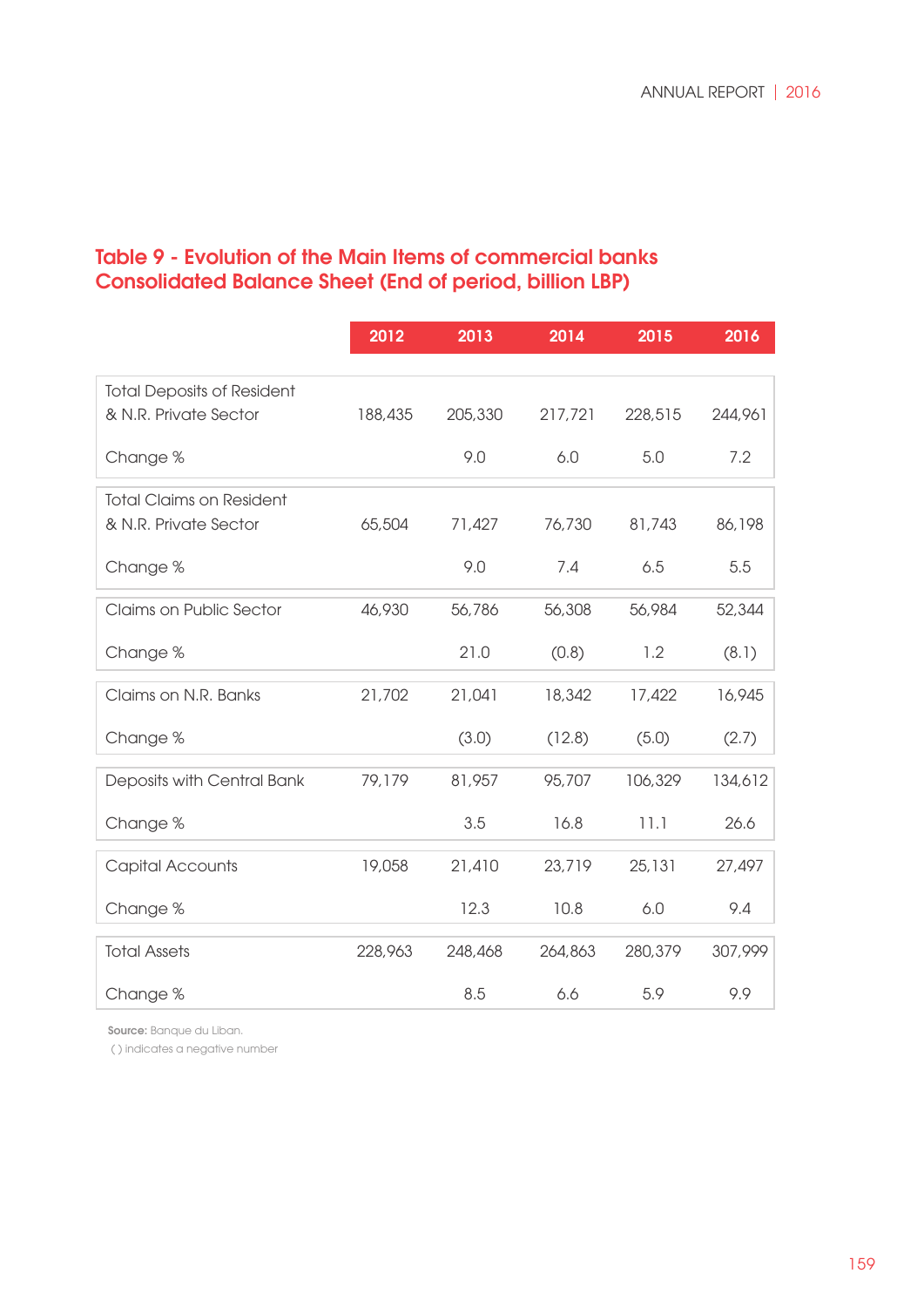## Table 9 - Evolution of the Main Items of commercial banks Consolidated Balance Sheet (End of period, billion LBP)

|                                   | 2012    | 2013    | 2014    | 2015    | 2016    |
|-----------------------------------|---------|---------|---------|---------|---------|
|                                   |         |         |         |         |         |
| <b>Total Deposits of Resident</b> |         |         |         |         |         |
| & N.R. Private Sector             | 188,435 | 205,330 | 217,721 | 228,515 | 244,961 |
| Change %                          |         | 9.0     | 6.0     | 5.0     | 7.2     |
| <b>Total Claims on Resident</b>   |         |         |         |         |         |
| & N.R. Private Sector             | 65,504  | 71,427  | 76,730  | 81,743  | 86,198  |
| Change %                          |         | 9.0     | 7.4     | 6.5     | 5.5     |
| Claims on Public Sector           | 46,930  | 56,786  | 56,308  | 56,984  | 52,344  |
| Change %                          |         | 21.0    | (0.8)   | 1.2     | (8.1)   |
| Claims on N.R. Banks              | 21,702  | 21,041  | 18,342  | 17,422  | 16,945  |
| Change %                          |         | (3.0)   | (12.8)  | (5.0)   | (2.7)   |
| Deposits with Central Bank        | 79,179  | 81,957  | 95,707  | 106,329 | 134,612 |
| Change %                          |         | 3.5     | 16.8    | 11.1    | 26.6    |
| <b>Capital Accounts</b>           | 19,058  | 21,410  | 23,719  | 25,131  | 27,497  |
| Change %                          |         | 12.3    | 10.8    | 6.0     | 9.4     |
| <b>Total Assets</b>               | 228,963 | 248,468 | 264,863 | 280,379 | 307,999 |
| Change %                          |         | 8.5     | 6.6     | 5.9     | 9.9     |

Source: Banque du Liban.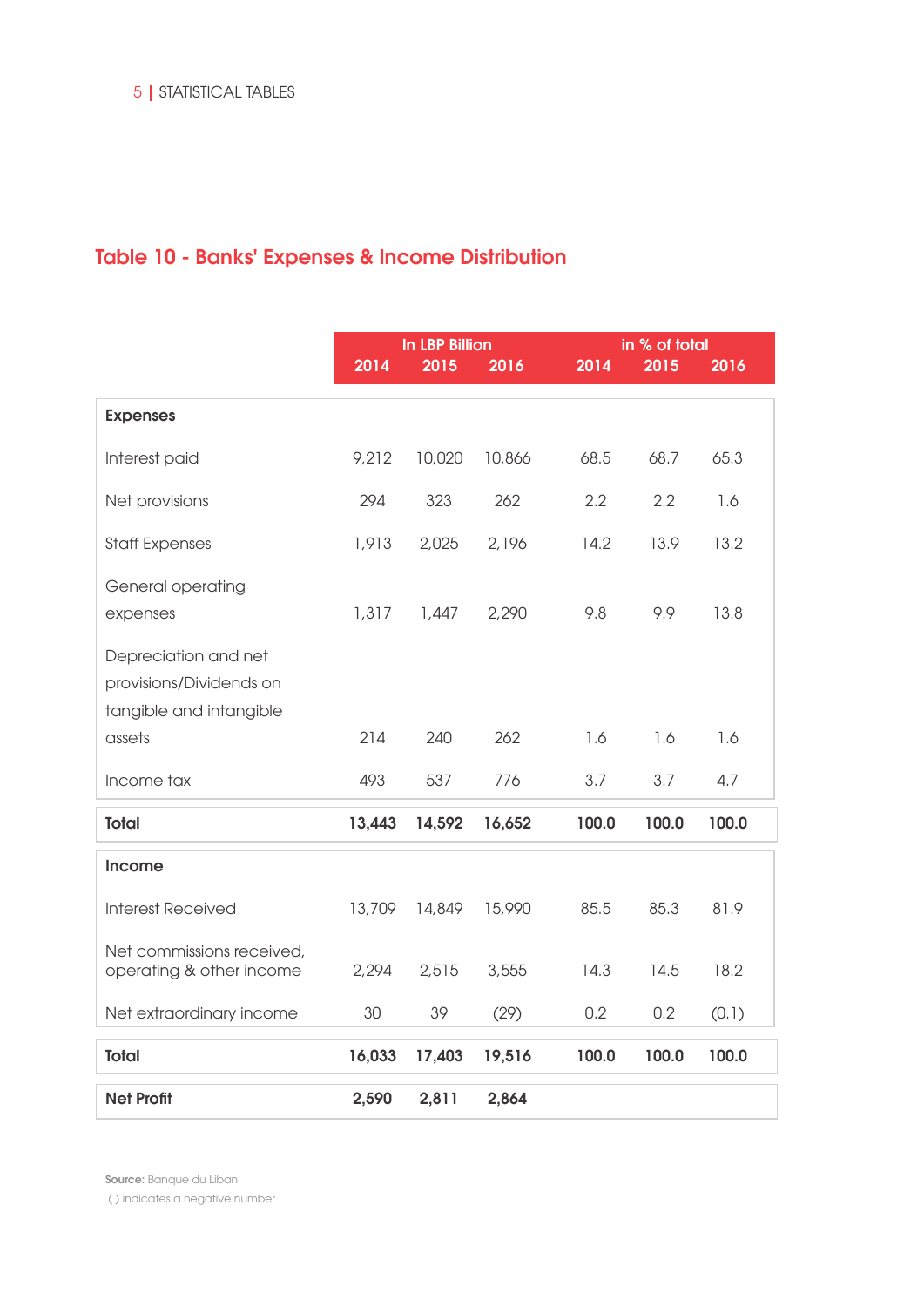# Table 10 - Banks' Expenses & Income Distribution

|                                                                            | 2014   | <b>In LBP Billion</b><br>2015 | 2016   | in % of total<br>2014<br>2015<br>2016 |       |       |
|----------------------------------------------------------------------------|--------|-------------------------------|--------|---------------------------------------|-------|-------|
| <b>Expenses</b>                                                            |        |                               |        |                                       |       |       |
| Interest paid                                                              | 9,212  | 10,020                        | 10,866 | 68.5                                  | 68.7  | 65.3  |
| Net provisions                                                             | 294    | 323                           | 262    | 2.2                                   | 2.2   | 1.6   |
| <b>Staff Expenses</b>                                                      | 1,913  | 2,025                         | 2,196  | 14.2                                  | 13.9  | 13.2  |
| General operating<br>expenses                                              | 1,317  | 1,447                         | 2,290  | 9.8                                   | 9.9   | 13.8  |
| Depreciation and net<br>provisions/Dividends on<br>tangible and intangible |        |                               |        |                                       |       |       |
| assets                                                                     | 214    | 240                           | 262    | 1.6                                   | 1.6   | 1.6   |
| Income tax                                                                 | 493    | 537                           | 776    | 3.7                                   | 3.7   | 4.7   |
| <b>Total</b>                                                               | 13,443 | 14,592                        | 16,652 | 100.0                                 | 100.0 | 100.0 |
| <b>Income</b>                                                              |        |                               |        |                                       |       |       |
| <b>Interest Received</b>                                                   | 13,709 | 14,849                        | 15,990 | 85.5                                  | 85.3  | 81.9  |
| Net commissions received,<br>operating & other income                      | 2,294  | 2,515                         | 3,555  | 14.3                                  | 14.5  | 18.2  |
| Net extraordinary income                                                   | 30     | 39                            | (29)   | 0.2                                   | 0.2   | (0.1) |
| <b>Total</b>                                                               | 16,033 | 17,403                        | 19,516 | 100.0                                 | 100.0 | 100.0 |
| <b>Net Profit</b>                                                          | 2,590  | 2,811                         | 2,864  |                                       |       |       |

Source: Banque du Liban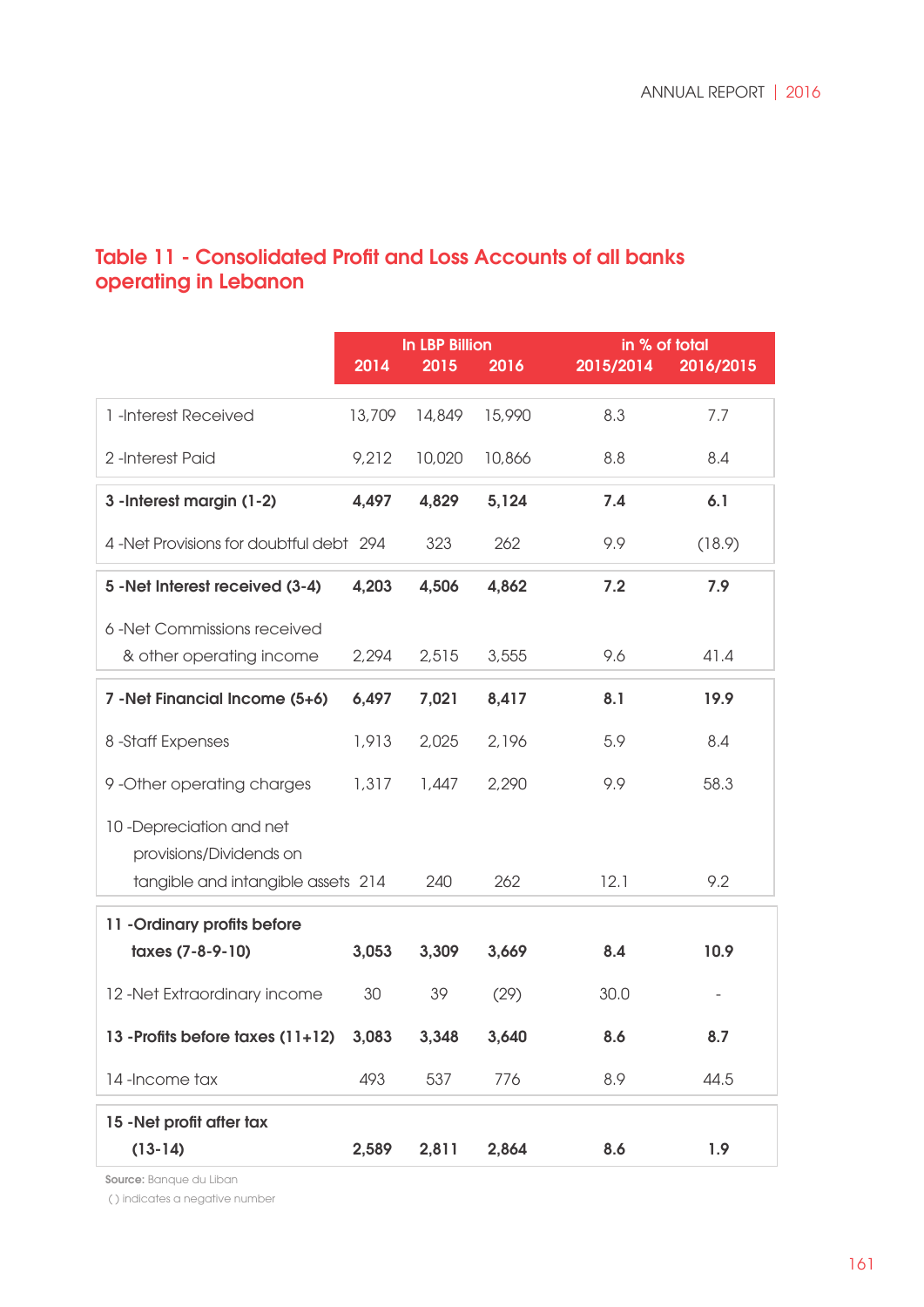## Table 11 - Consolidated Profit and Loss Accounts of all banks operating in Lebanon

|                                         | <b>In LBP Billion</b> |        |        | in % of total |           |  |
|-----------------------------------------|-----------------------|--------|--------|---------------|-----------|--|
|                                         | $\sqrt{2014}$         | 2015   | 2016   | 2015/2014     | 2016/2015 |  |
|                                         |                       |        |        |               |           |  |
| 1-Interest Received                     | 13,709                | 14,849 | 15,990 | 8.3           | 7.7       |  |
| 2-Interest Paid                         | 9,212                 | 10,020 | 10,866 | 8.8           | 8.4       |  |
|                                         |                       |        |        |               |           |  |
| 3 - Interest margin (1-2)               | 4,497                 | 4,829  | 5,124  | 7.4           | 6.1       |  |
|                                         |                       |        |        |               |           |  |
| 4 -Net Provisions for doubtful debt 294 |                       | 323    | 262    | 9.9           | (18.9)    |  |
| 5 - Net Interest received (3-4)         | 4,203                 | 4,506  | 4,862  | 7.2           | 7.9       |  |
|                                         |                       |        |        |               |           |  |
| 6 -Net Commissions received             |                       |        |        |               |           |  |
| & other operating income                | 2,294                 | 2,515  | 3,555  | 9.6           | 41.4      |  |
| 7 - Net Financial Income (5+6)          | 6,497                 | 7,021  | 8,417  | 8.1           | 19.9      |  |
|                                         |                       |        |        |               |           |  |
| 8-Staff Expenses                        | 1,913                 | 2,025  | 2,196  | 5.9           | 8.4       |  |
|                                         |                       |        |        |               |           |  |
| 9-Other operating charges               | 1,317                 | 1,447  | 2,290  | 9.9           | 58.3      |  |
| 10-Depreciation and net                 |                       |        |        |               |           |  |
| provisions/Dividends on                 |                       |        |        |               |           |  |
| tangible and intangible assets 214      |                       | 240    | 262    | 12.1          | 9.2       |  |
|                                         |                       |        |        |               |           |  |
| 11 - Ordinary profits before            |                       |        |        |               |           |  |
| taxes (7-8-9-10)                        | 3,053                 | 3,309  | 3,669  | 8.4           | 10.9      |  |
|                                         |                       |        |        |               |           |  |
| 12-Net Extraordinary income             | 30                    | 39     | (29)   | 30.0          |           |  |
| 13 - Profits before taxes (11+12)       | 3,083                 | 3,348  | 3,640  | 8.6           | 8.7       |  |
|                                         |                       |        |        |               |           |  |
| 14-Income tax                           | 493                   | 537    | 776    | 8.9           | 44.5      |  |
| 15 - Net profit after tax               |                       |        |        |               |           |  |
| $(13-14)$                               | 2,589                 | 2,811  | 2,864  | 8.6           | 1.9       |  |
|                                         |                       |        |        |               |           |  |

Source: Banque du Liban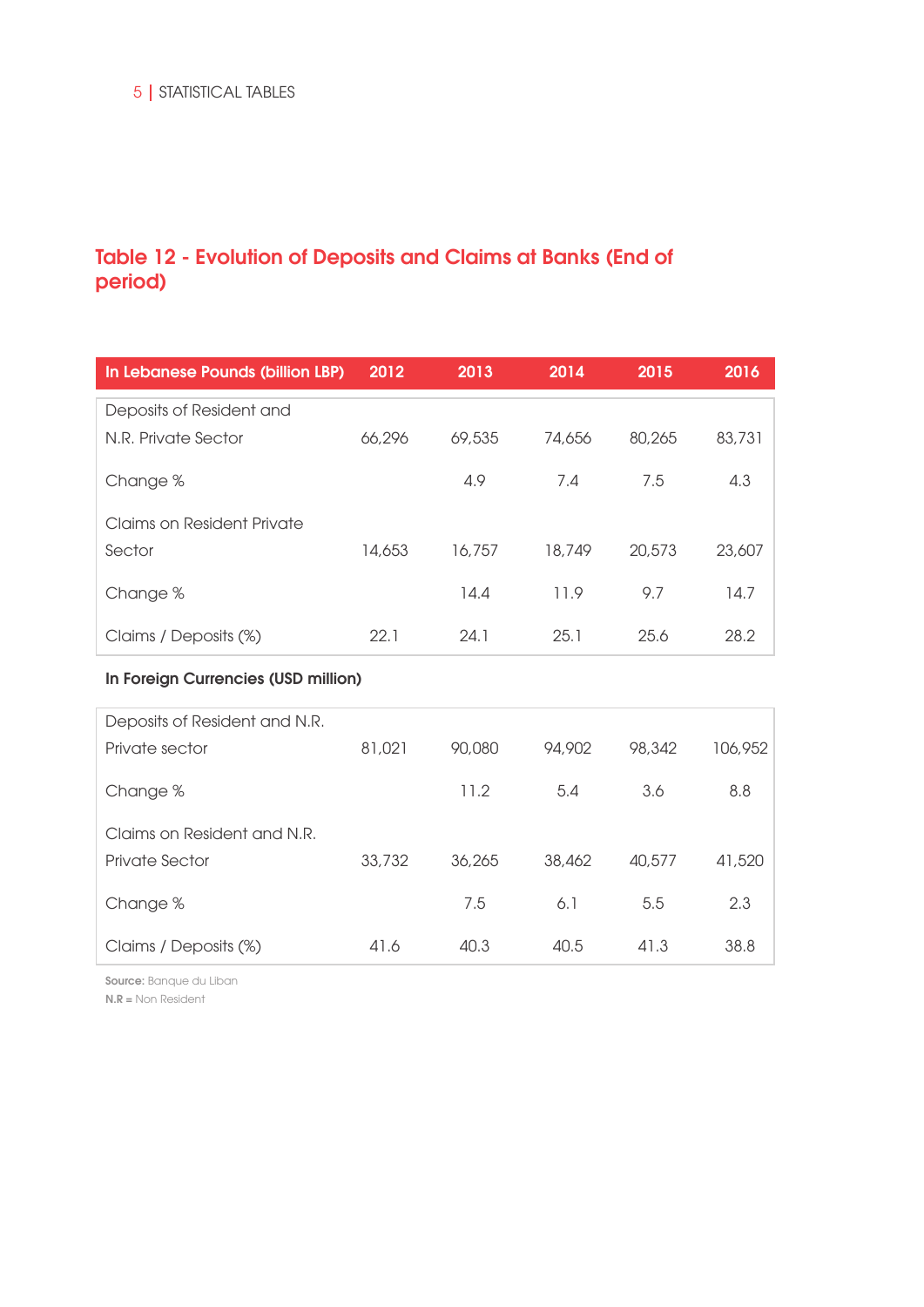## Table 12 - Evolution of Deposits and Claims at Banks (End of period)

| In Lebanese Pounds (billion LBP)    | 2012   | 2013   | 2014   | 2015   | 2016    |
|-------------------------------------|--------|--------|--------|--------|---------|
| Deposits of Resident and            |        |        |        |        |         |
| N.R. Private Sector                 | 66,296 | 69,535 | 74,656 | 80,265 | 83,731  |
| Change %                            |        | 4.9    | 7.4    | 7.5    | 4.3     |
| <b>Claims on Resident Private</b>   |        |        |        |        |         |
| Sector                              | 14,653 | 16,757 | 18,749 | 20,573 | 23,607  |
| Change %                            |        | 14.4   | 11.9   | 9.7    | 14.7    |
| Claims / Deposits (%)               | 22.1   | 24.1   | 25.1   | 25.6   | 28.2    |
| In Foreign Currencies (USD million) |        |        |        |        |         |
| Deposits of Resident and N.R.       |        |        |        |        |         |
| Private sector                      | 81,021 | 90,080 | 94,902 | 98,342 | 106,952 |
| Change %                            |        | 11.2   | 5.4    | 3.6    | 8.8     |
| Claims on Resident and N.R.         |        |        |        |        |         |
| <b>Private Sector</b>               | 33,732 | 36,265 | 38,462 | 40,577 | 41,520  |
| Change %                            |        | 7.5    | 6.1    | 5.5    | 2.3     |
| Claims / Deposits (%)               | 41.6   | 40.3   | 40.5   | 41.3   | 38.8    |

Source: Banque du Liban

N.R = Non Resident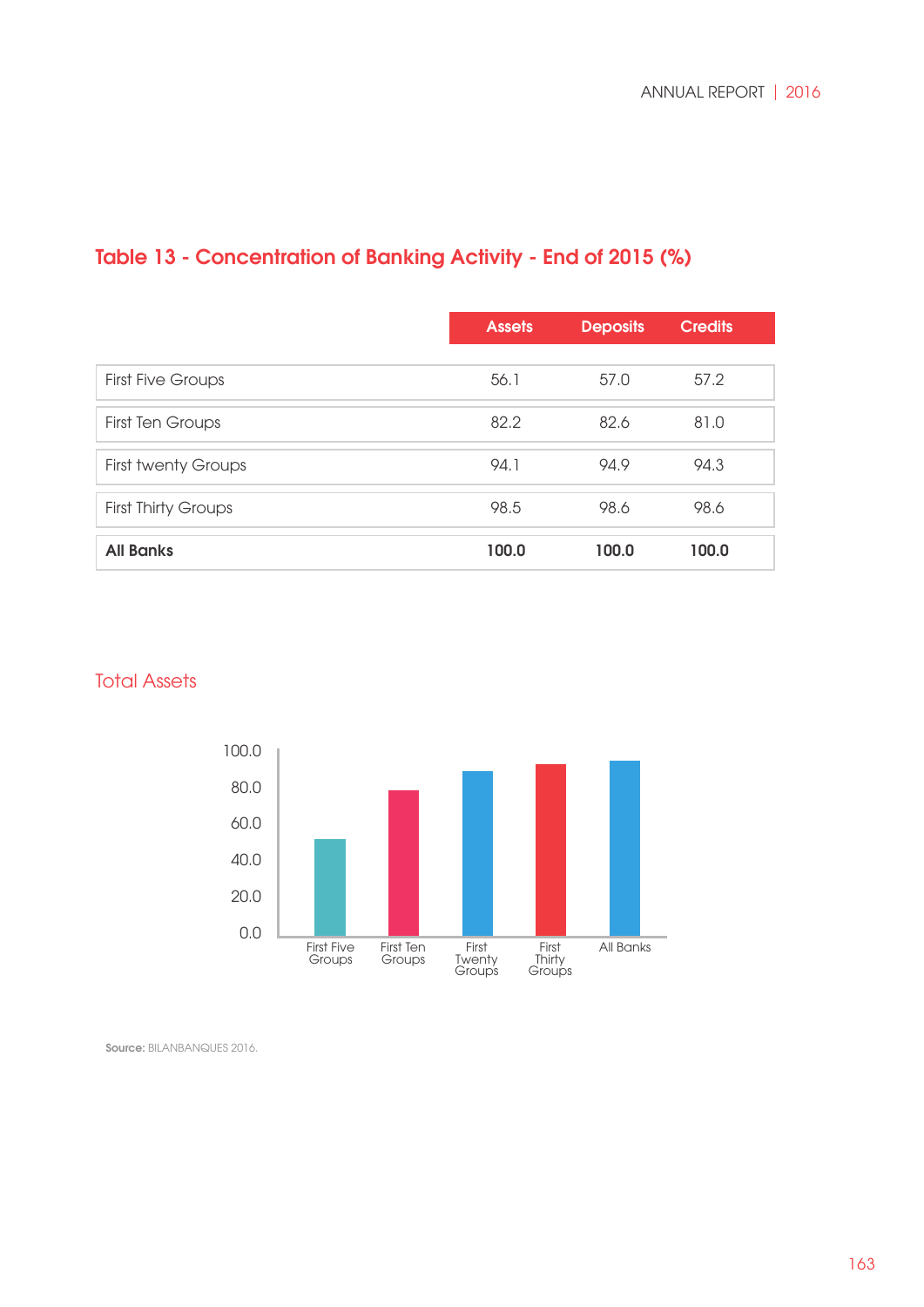# Table 13 - Concentration of Banking Activity - End of 2015 (%)

|                            | <b>Assets</b> | <b>Deposits</b> | <b>Credits</b> |
|----------------------------|---------------|-----------------|----------------|
|                            |               |                 |                |
| <b>First Five Groups</b>   | 56.1          | 57.0            | 57.2           |
| <b>First Ten Groups</b>    | 82.2          | 82.6            | 81.0           |
| <b>First twenty Groups</b> | 94.1          | 94.9            | 94.3           |
| <b>First Thirty Groups</b> | 98.5          | 98.6            | 98.6           |
| <b>All Banks</b>           | 100.0         | 100.0           | 100.0          |

#### **Total Assets**



Source: BILANBANQUES 2016.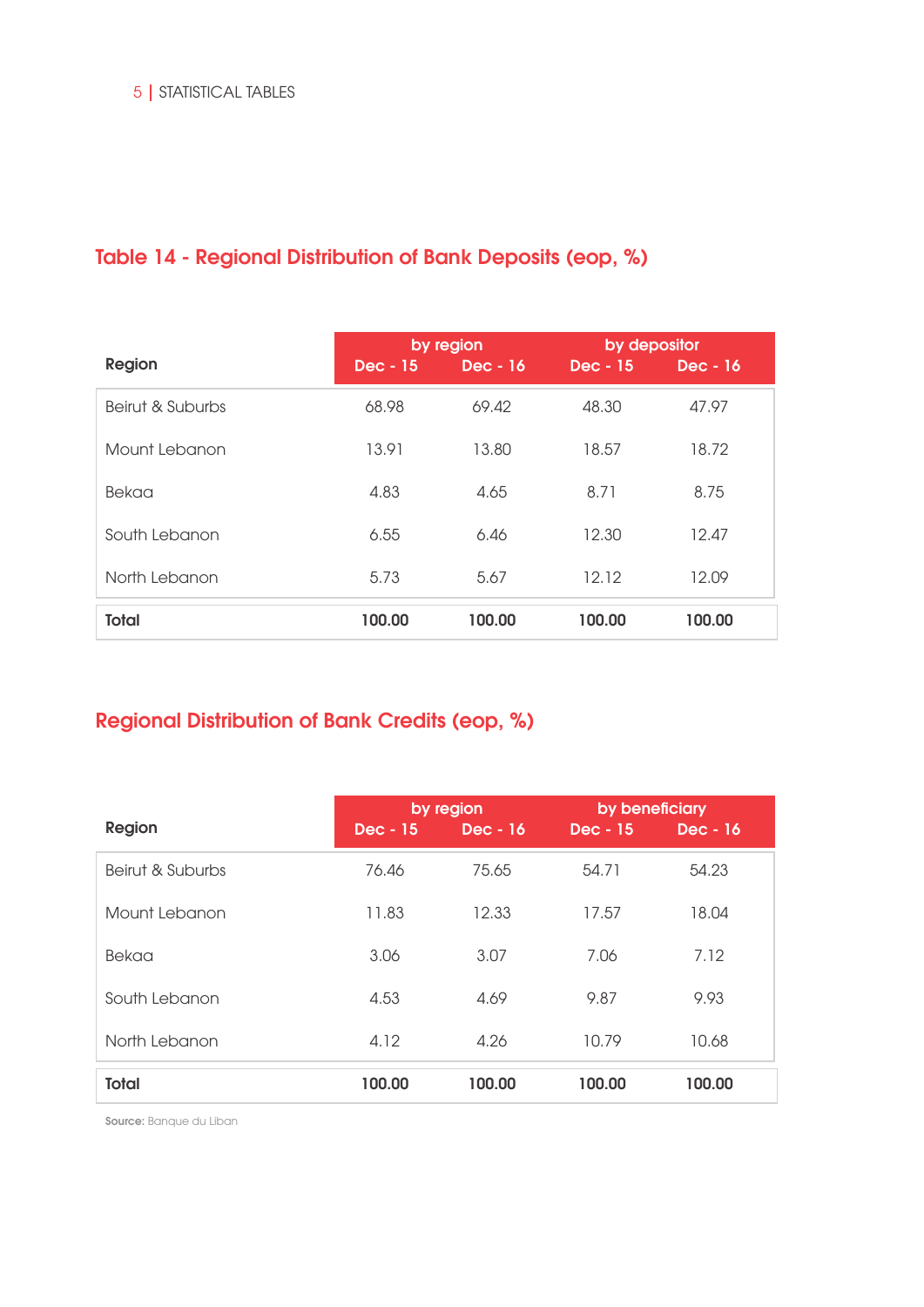# Table 14 - Regional Distribution of Bank Deposits (eop, %)

|                  |            | by region | by depositor |            |
|------------------|------------|-----------|--------------|------------|
| <b>Region</b>    | $Dec - 15$ | Dec - 16  | Dec - 15     | $Dec - 16$ |
| Beirut & Suburbs | 68.98      | 69.42     | 48.30        | 47.97      |
| Mount Lebanon    | 13.91      | 13.80     | 18.57        | 18.72      |
| Bekaa            | 4.83       | 4.65      | 8.71         | 8.75       |
| South Lebanon    | 6.55       | 6.46      | 12.30        | 12.47      |
| North Lebanon    | 5.73       | 5.67      | 12.12        | 12.09      |
| <b>Total</b>     | 100.00     | 100.00    | 100.00       | 100.00     |

# Regional Distribution of Bank Credits (eop, %)

|                  | by region |                 | by beneficiary |          |
|------------------|-----------|-----------------|----------------|----------|
| <b>Region</b>    | Dec - 15  | <b>Dec</b> - 16 | $Dec - 15$     | Dec - 16 |
| Beirut & Suburbs | 76.46     | 75.65           | 54.71          | 54.23    |
| Mount Lebanon    | 11.83     | 12.33           | 17.57          | 18.04    |
| Bekaa            | 3.06      | 3.07            | 7.06           | 7.12     |
| South Lebanon    | 4.53      | 4.69            | 9.87           | 9.93     |
| North Lebanon    | 4.12      | 4.26            | 10.79          | 10.68    |
| <b>Total</b>     | 100.00    | 100.00          | 100.00         | 100.00   |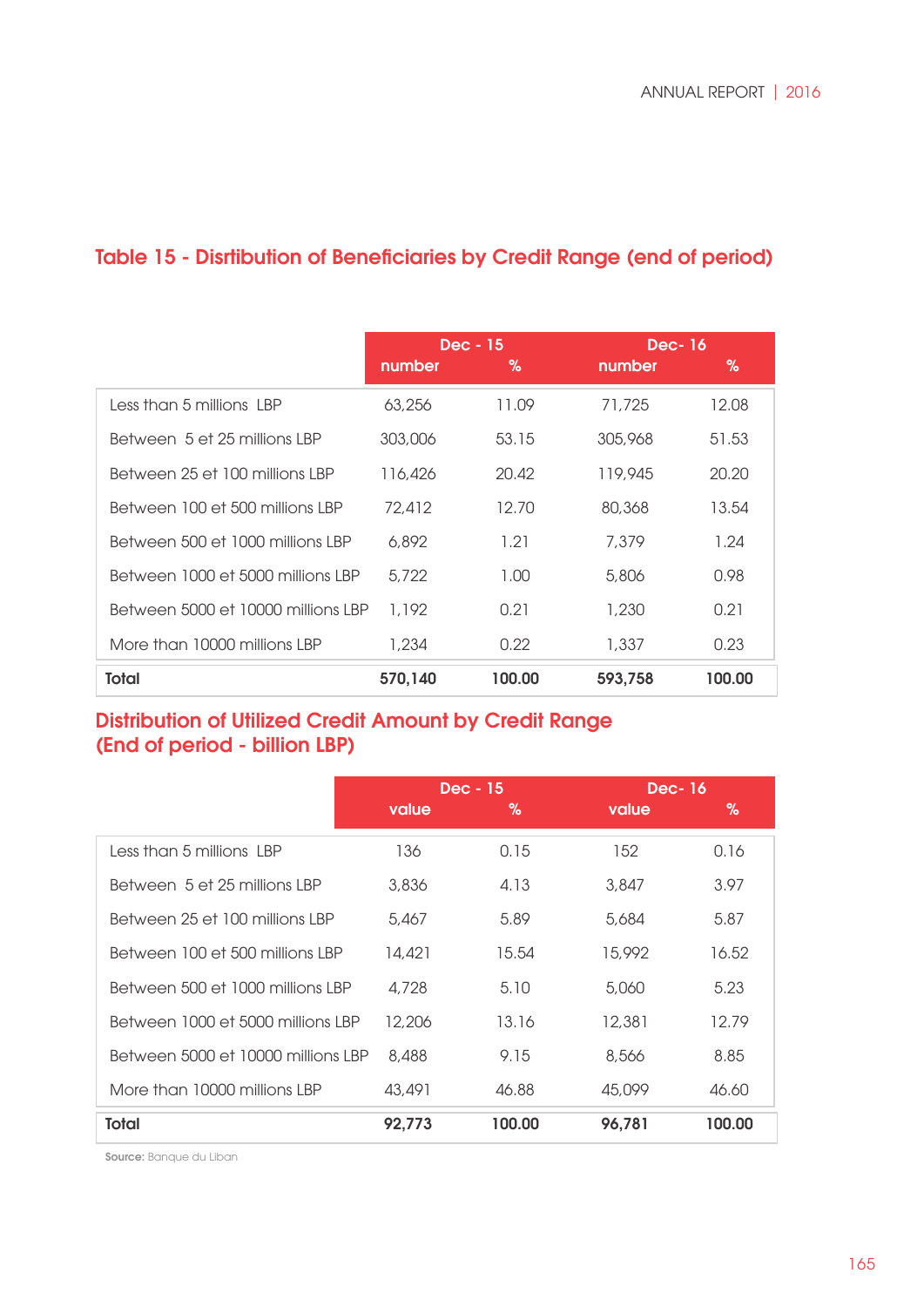|                                    | Dec - 15 |        | <b>Dec-16</b> |        |
|------------------------------------|----------|--------|---------------|--------|
|                                    | number   | %      | number        | %      |
| Less than 5 millions LBP           | 63,256   | 11.09  | 71,725        | 12.08  |
| Between 5 et 25 millions LBP       | 303,006  | 53.15  | 305,968       | 51.53  |
| Between 25 et 100 millions LBP     | 116,426  | 20.42  | 119,945       | 20.20  |
| Between 100 et 500 millions LBP    | 72.412   | 12.70  | 80,368        | 13.54  |
| Between 500 et 1000 millions LBP   | 6.892    | 1.21   | 7.379         | 1.24   |
| Between 1000 et 5000 millions LBP  | 5.722    | 1.00   | 5,806         | 0.98   |
| Between 5000 et 10000 millions LBP | 1.192    | 0.21   | 1,230         | 0.21   |
| More than 10000 millions LBP       | 1,234    | 0.22   | 1,337         | 0.23   |
| <b>Total</b>                       | 570,140  | 100.00 | 593,758       | 100.00 |

## Table 15 - Disrtibution of Beneficiaries by Credit Range (end of period)

## Distribution of Utilized Credit Amount by Credit Range (End of period - billion LBP)

|                                    | Dec - 15 |        | <b>Dec-16</b> |        |
|------------------------------------|----------|--------|---------------|--------|
|                                    | value    | %      | value         | %      |
| Less than 5 millions LBP           | 136      | 0.15   | 152           | 0.16   |
| Between 5 et 25 millions LBP       | 3,836    | 4.13   | 3,847         | 3.97   |
| Between 25 et 100 millions LBP     | 5,467    | 5.89   | 5,684         | 5.87   |
| Between 100 et 500 millions LBP    | 14,421   | 15.54  | 15,992        | 16.52  |
| Between 500 et 1000 millions LBP   | 4,728    | 5.10   | 5,060         | 5.23   |
| Between 1000 et 5000 millions LBP  | 12,206   | 13.16  | 12,381        | 12.79  |
| Between 5000 et 10000 millions LBP | 8,488    | 9.15   | 8,566         | 8.85   |
| More than 10000 millions LBP       | 43,491   | 46.88  | 45,099        | 46.60  |
| Total                              | 92,773   | 100.00 | 96,781        | 100.00 |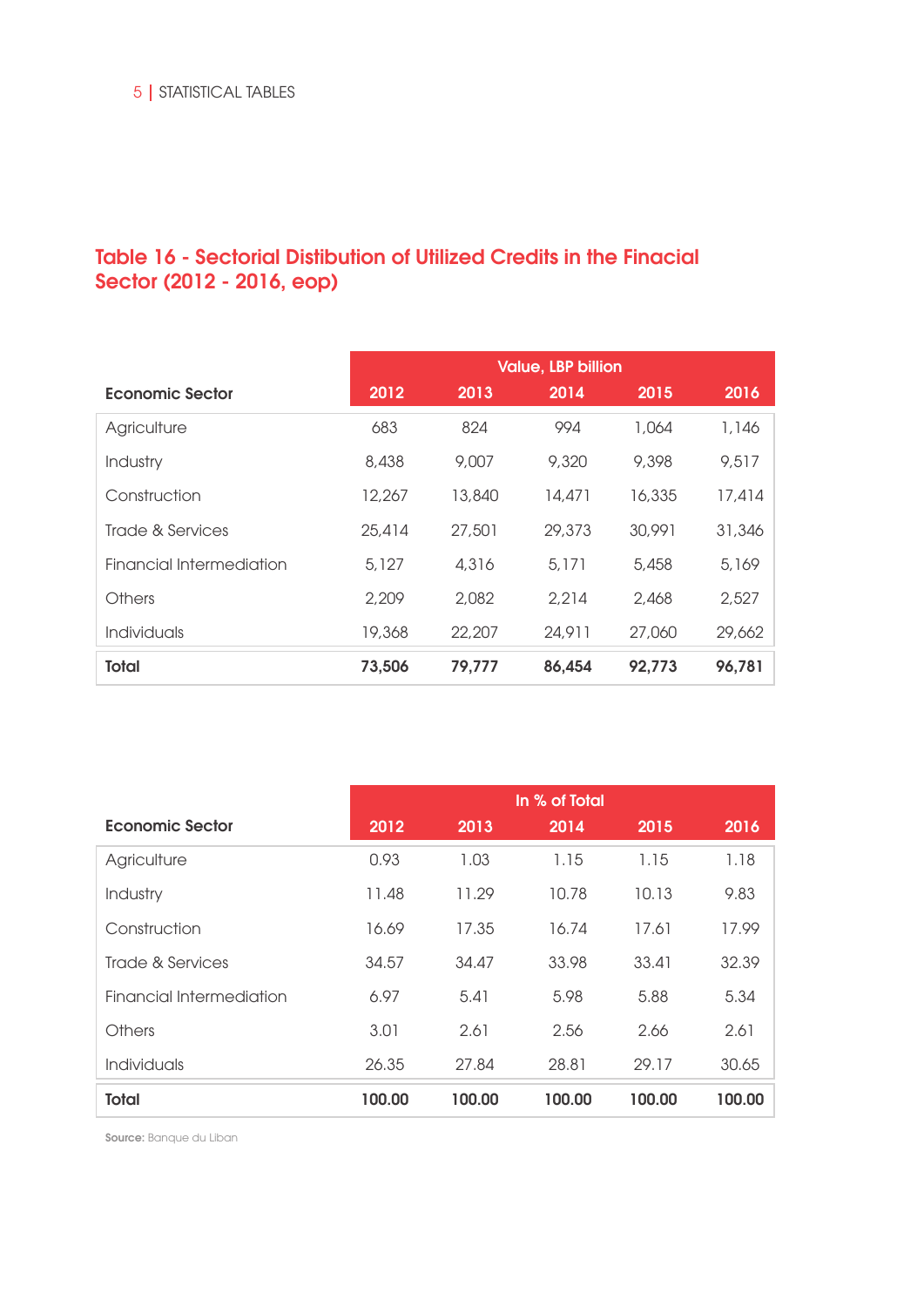## Table 16 - Sectorial Distibution of Utilized Credits in the Finacial Sector (2012 - 2016, eop)

|                          | <b>Value, LBP billion</b> |        |        |        |        |
|--------------------------|---------------------------|--------|--------|--------|--------|
| Economic Sector          | 2012                      | 2013   | 2014   | 2015   | 2016   |
| Agriculture              | 683                       | 824    | 994    | 1.064  | 1,146  |
| Industry                 | 8.438                     | 9,007  | 9,320  | 9,398  | 9,517  |
| Construction             | 12,267                    | 13,840 | 14,471 | 16,335 | 17,414 |
| Trade & Services         | 25,414                    | 27,501 | 29,373 | 30,991 | 31,346 |
| Financial Intermediation | 5,127                     | 4.316  | 5.171  | 5.458  | 5,169  |
| <b>Others</b>            | 2,209                     | 2,082  | 2,214  | 2,468  | 2,527  |
| <b>Individuals</b>       | 19,368                    | 22,207 | 24,911 | 27,060 | 29,662 |
| <b>Total</b>             | 73,506                    | 79,777 | 86,454 | 92,773 | 96,781 |

|                          | In % of Total |        |        |        |        |
|--------------------------|---------------|--------|--------|--------|--------|
| <b>Economic Sector</b>   | 2012          | 2013   | 2014   | 2015   | 2016   |
| Agriculture              | 0.93          | 1.03   | 1.15   | 1.15   | 1.18   |
| Industry                 | 11.48         | 11.29  | 10.78  | 10.13  | 9.83   |
| Construction             | 16.69         | 17.35  | 16.74  | 17.61  | 17.99  |
| Trade & Services         | 34.57         | 34.47  | 33.98  | 33.41  | 32.39  |
| Financial Intermediation | 6.97          | 5.41   | 5.98   | 5.88   | 5.34   |
| Others                   | 3.01          | 2.61   | 2.56   | 2.66   | 2.61   |
| <b>Individuals</b>       | 26.35         | 27.84  | 28.81  | 29.17  | 30.65  |
| <b>Total</b>             | 100.00        | 100.00 | 100.00 | 100.00 | 100.00 |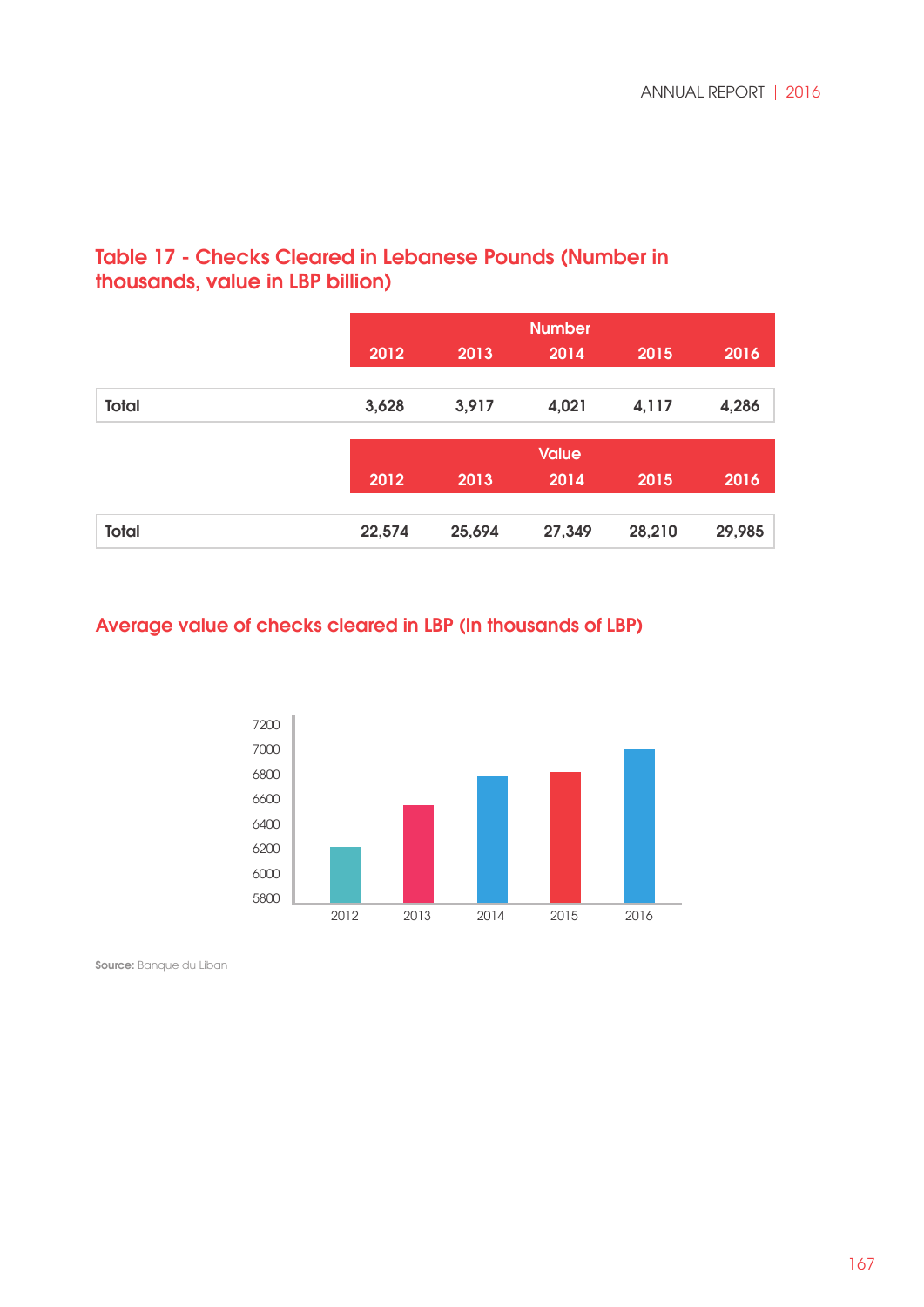## Table 17 - Checks Cleared in Lebanese Pounds (Number in thousands, value in LBP billion)

|              |        |        | <b>Number</b> |        |        |
|--------------|--------|--------|---------------|--------|--------|
|              | 2012   | 2013   | 2014          | 2015   | 2016   |
|              |        |        |               |        |        |
| <b>Total</b> | 3,628  | 3,917  | 4,021         | 4,117  | 4,286  |
|              |        |        |               |        |        |
|              |        |        | <b>Value</b>  |        |        |
|              | 2012   | 2013   | 2014          | 2015   | 2016   |
|              |        |        |               |        |        |
| <b>Total</b> | 22,574 | 25,694 | 27,349        | 28,210 | 29,985 |

## Average value of checks cleared in LBP (In thousands of LBP)

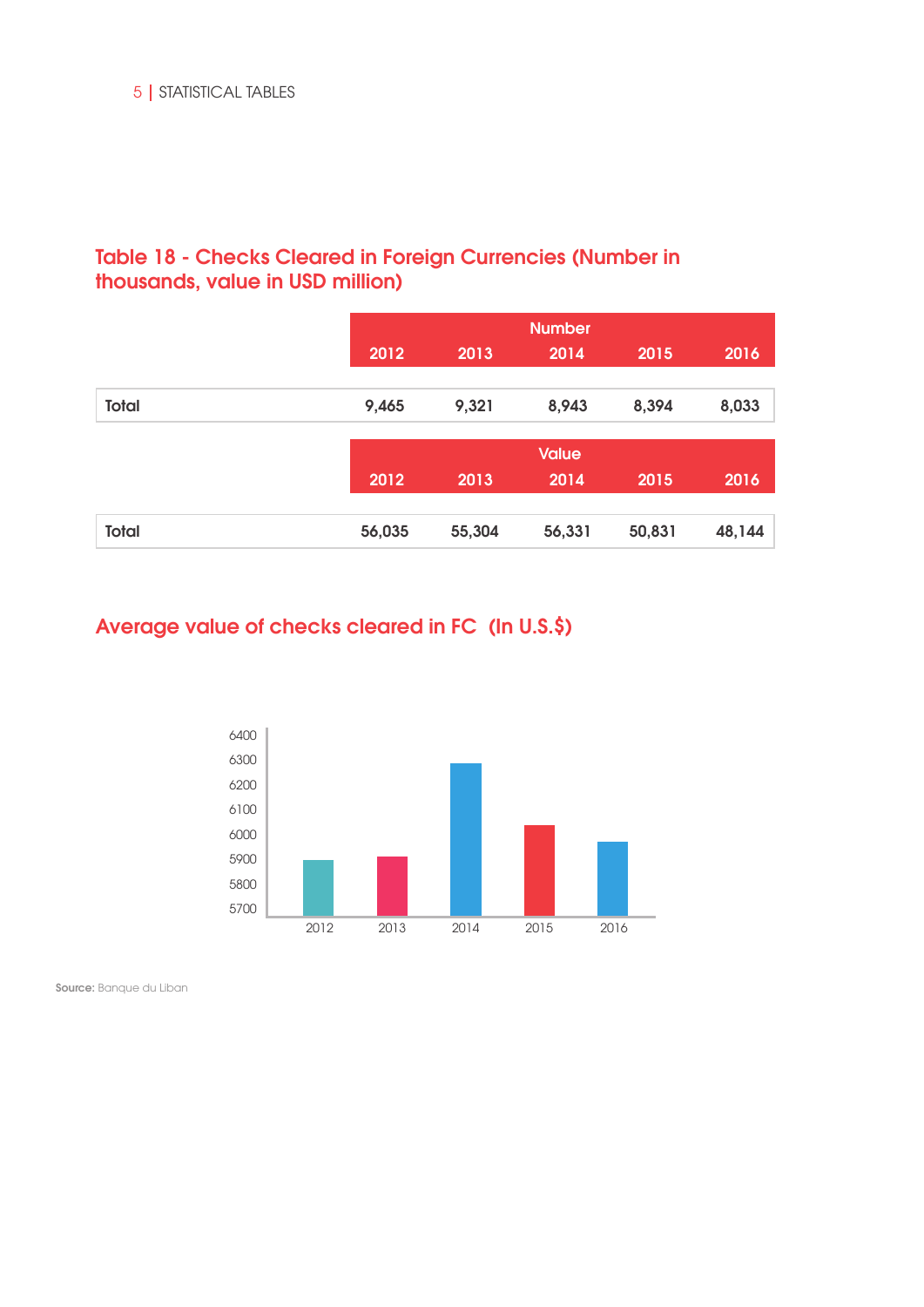## Table 18 - Checks Cleared in Foreign Currencies (Number in thousands, value in USD million)

|              |        | <b>Number</b> |              |        |        |  |
|--------------|--------|---------------|--------------|--------|--------|--|
|              | 2012   | 2013          | 2014         | 2015   | 2016   |  |
|              |        |               |              |        |        |  |
| <b>Total</b> | 9,465  | 9,321         | 8,943        | 8,394  | 8,033  |  |
|              |        |               |              |        |        |  |
|              |        |               | <b>Value</b> |        |        |  |
|              | 2012   | 2013          | 2014         | 2015   | 2016   |  |
|              |        |               |              |        |        |  |
| <b>Total</b> | 56,035 | 55,304        | 56,331       | 50,831 | 48,144 |  |

## Average value of checks cleared in FC (In U.S.\$)

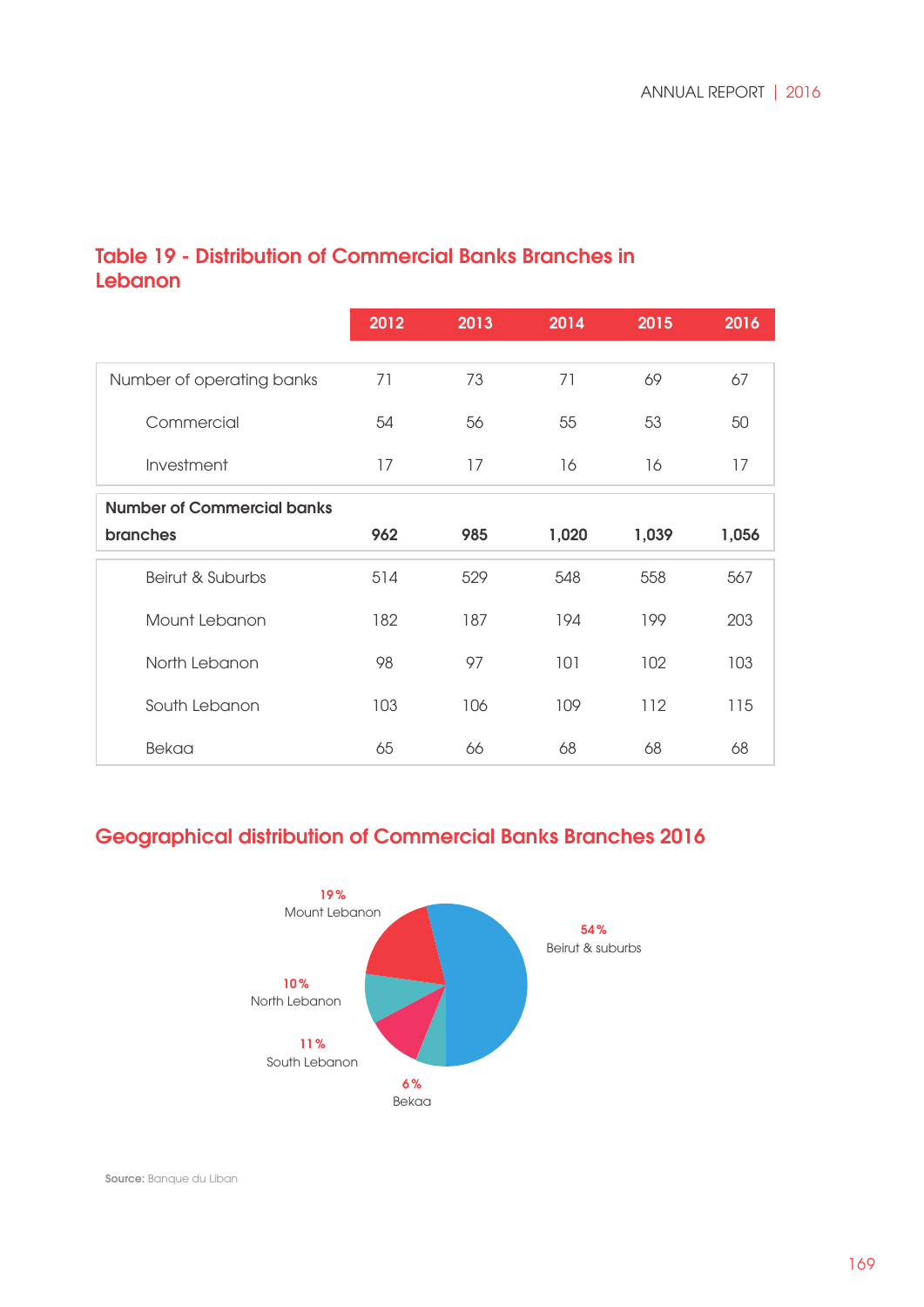## Table 19 - Distribution of Commercial Banks Branches in **Lebanon**

|                                   | 2012 | 2013 | 2014  | 2015  | 2016  |
|-----------------------------------|------|------|-------|-------|-------|
| Number of operating banks         | 71   | 73   | 71    | 69    | 67    |
| Commercial                        | 54   | 56   | 55    | 53    | 50    |
| Investment                        | 17   | 17   | 16    | 16    | 17    |
| <b>Number of Commercial banks</b> |      |      |       |       |       |
| <b>branches</b>                   | 962  | 985  | 1,020 | 1,039 | 1,056 |
| Beirut & Suburbs                  | 514  | 529  | 548   | 558   | 567   |
| Mount Lebanon                     | 182  | 187  | 194   | 199   | 203   |
| North Lebanon                     | 98   | 97   | 101   | 102   | 103   |
| South Lebanon                     | 103  | 106  | 109   | 112   | 115   |
| Bekaa                             | 65   | 66   | 68    | 68    | 68    |

## Geographical distribution of Commercial Banks Branches 2016

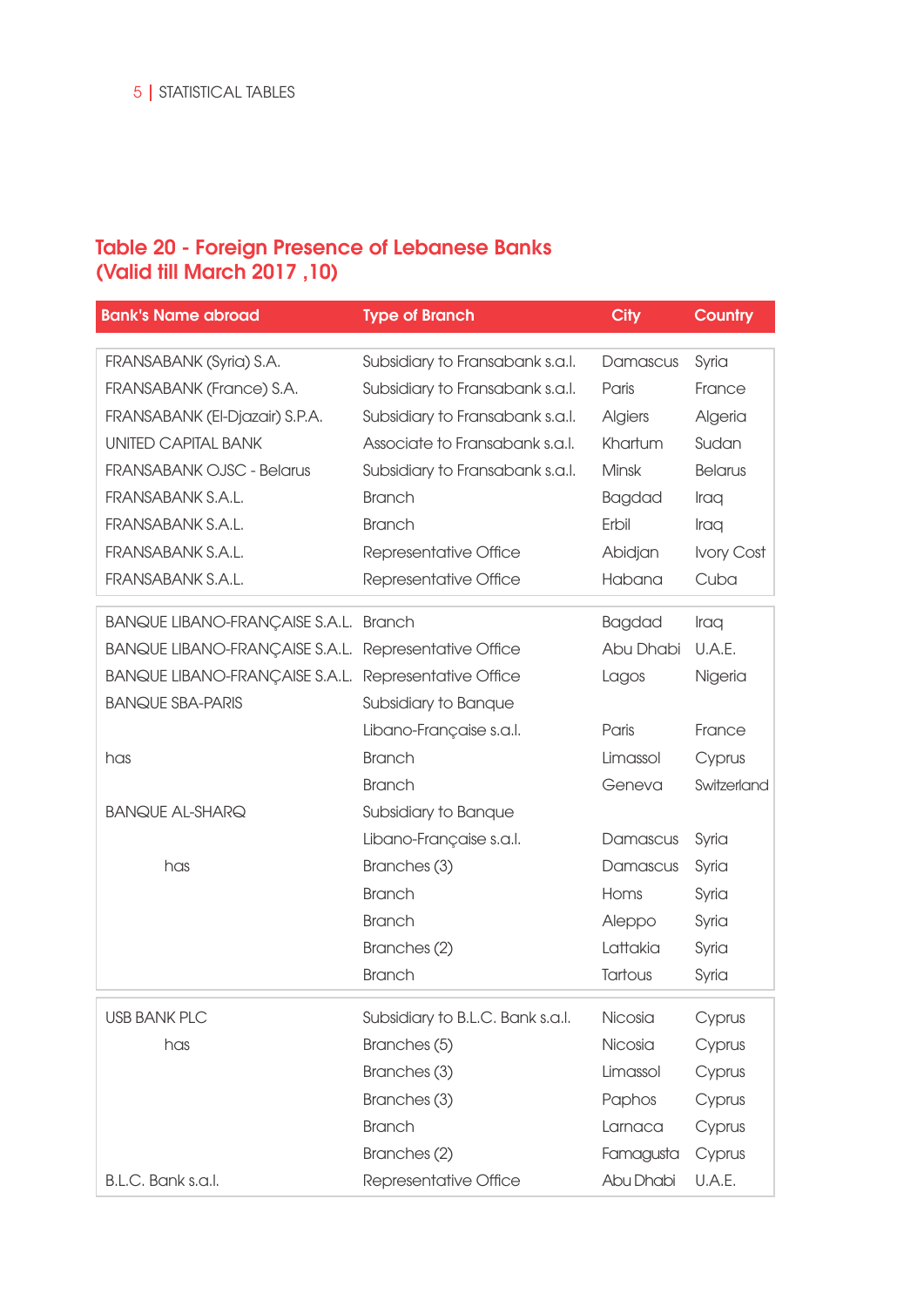#### Table 20 - Foreign Presence of Lebanese Banks (Valid till March 2017 ,10)

| <b>Bank's Name abroad</b>                            | <b>Type of Branch</b>            | <b>City</b>    | <b>Country</b> |
|------------------------------------------------------|----------------------------------|----------------|----------------|
|                                                      |                                  |                |                |
| FRANSABANK (Syria) S.A.                              | Subsidiary to Fransabank s.a.l.  | Damascus       | Syria          |
| FRANSABANK (France) S.A.                             | Subsidiary to Fransabank s.a.l.  | Paris          | France         |
| FRANSABANK (El-Djazair) S.P.A.                       | Subsidiary to Fransabank s.a.l.  | <b>Algiers</b> | Algeria        |
| <b>UNITED CAPITAL BANK</b>                           | Associate to Fransabank s.a.l.   | Khartum        | Sudan          |
| <b>FRANSABANK OJSC - Belarus</b>                     | Subsidiary to Fransabank s.a.l.  | Minsk          | <b>Belarus</b> |
| FRANSABANK S.A.L.                                    | <b>Branch</b>                    | <b>Bagdad</b>  | Iraq           |
| FRANSABANK S.A.L.                                    | <b>Branch</b>                    | Erbil          | Iraq           |
| FRANSABANK S.A.L.                                    | Representative Office            | Abidjan        | Ivory Cost     |
| FRANSABANK S.A.L.                                    | Representative Office            | Habana         | Cuba           |
| <b>BANQUE LIBANO-FRANÇAISE S.A.L. Branch</b>         |                                  | <b>Bagdad</b>  | Iraq           |
| BANQUE LIBANO-FRANÇAISE S.A.L. Representative Office |                                  | Abu Dhabi      | U.A.E.         |
| BANQUE LIBANO-FRANÇAISE S.A.L. Representative Office |                                  | Lagos          | Nigeria        |
| <b>BANQUE SBA-PARIS</b>                              | Subsidiary to Banque             |                |                |
|                                                      | Libano-Française s.a.l.          | Paris          | France         |
| has                                                  | <b>Branch</b>                    | Limassol       | Cyprus         |
|                                                      | <b>Branch</b>                    | Geneva         | Switzerland    |
| <b>BANQUE AL-SHARQ</b>                               | Subsidiary to Banque             |                |                |
|                                                      | Libano-Française s.a.l.          | Damascus       | Syria          |
| has                                                  | Branches (3)                     | Damascus       | Syria          |
|                                                      | <b>Branch</b>                    | Homs           | Syria          |
|                                                      | <b>Branch</b>                    | Aleppo         | Syria          |
|                                                      | Branches (2)                     | Lattakia       | Syria          |
|                                                      | <b>Branch</b>                    | Tartous        | Syria          |
| <b>USB BANK PLC</b>                                  | Subsidiary to B.L.C. Bank s.a.l. | Nicosia        | Cyprus         |
| has                                                  | Branches (5)                     | Nicosia        | Cyprus         |
|                                                      | Branches (3)                     | Limassol       | Cyprus         |
|                                                      | Branches (3)                     | Paphos         | Cyprus         |
|                                                      | <b>Branch</b>                    | Larnaca        | Cyprus         |
|                                                      | Branches (2)                     | Famagusta      | Cyprus         |
| B.L.C. Bank s.a.l.                                   | Representative Office            | Abu Dhabi      | U.A.E.         |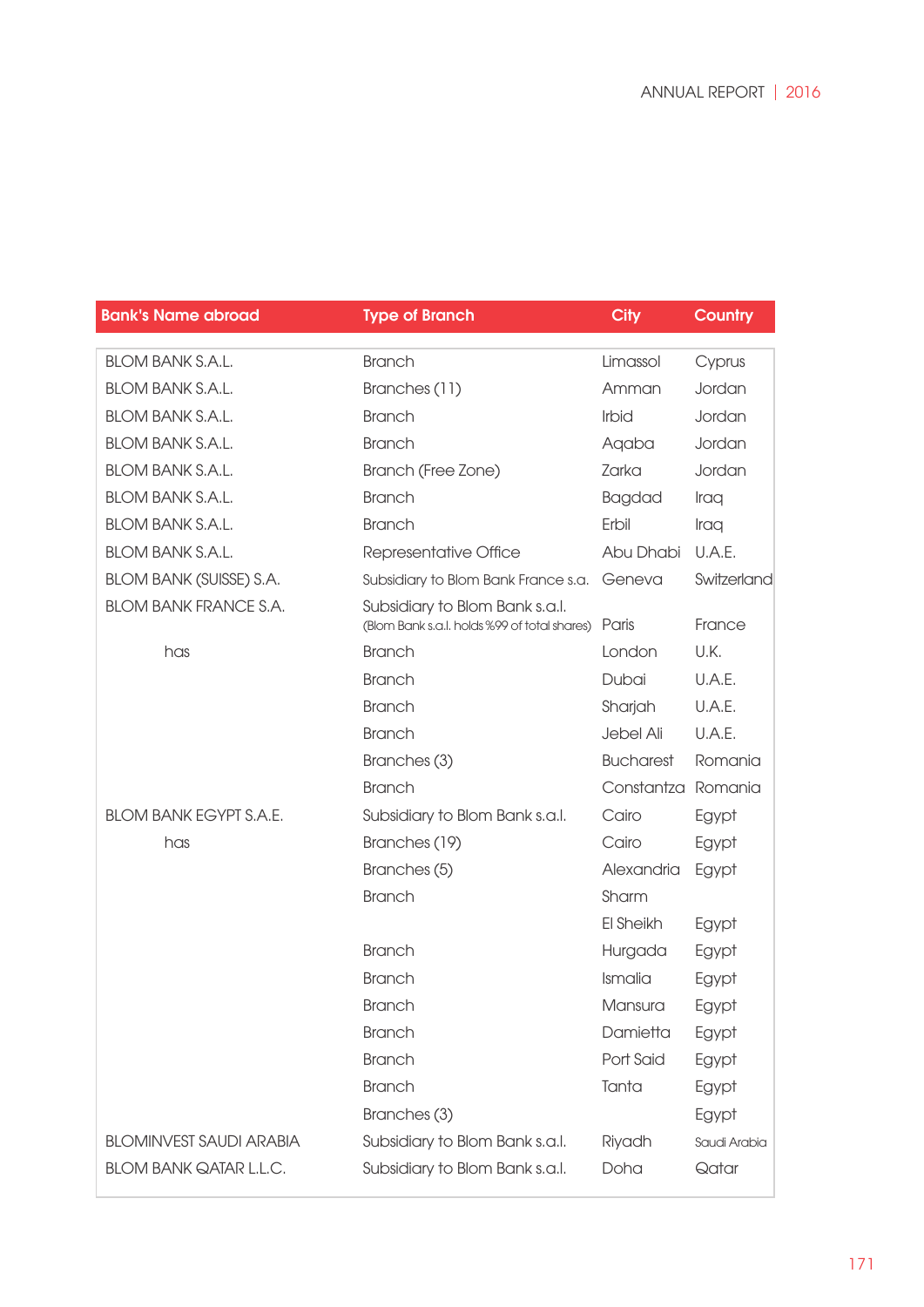Bank's Name abroad Type of Branch City Country

| <b>BLOM BANK S.A.L.</b>        | <b>Branch</b>                                                                  | Limassol           | Cyprus       |
|--------------------------------|--------------------------------------------------------------------------------|--------------------|--------------|
| <b>BLOM BANK S.A.L.</b>        | Branches (11)                                                                  | Amman              | Jordan       |
| <b>BLOM BANK S.A.L.</b>        | <b>Branch</b>                                                                  | Irbid              | Jordan       |
| <b>BLOM BANK S.A.L.</b>        | <b>Branch</b>                                                                  | Agaba              | Jordan       |
| <b>BLOM BANK S.A.L.</b>        | Branch (Free Zone)                                                             | Zarka              | Jordan       |
| <b>BLOM BANK S.A.L.</b>        | <b>Branch</b>                                                                  | <b>Bagdad</b>      | Iraq         |
| <b>BLOM BANK S.A.L.</b>        | <b>Branch</b>                                                                  | Erbil              | Iraq         |
| <b>BLOM BANK S.A.L.</b>        | Representative Office                                                          | Abu Dhabi          | U.A.E.       |
| <b>BLOM BANK (SUISSE) S.A.</b> | Subsidiary to Blom Bank France s.a.                                            | Geneva             | Switzerland  |
| <b>BLOM BANK FRANCE S.A.</b>   | Subsidiary to Blom Bank s.a.l.<br>(Blom Bank s.a.l. holds %99 of total shares) | Paris              | France       |
| has                            | <b>Branch</b>                                                                  | London             | U.K.         |
|                                | <b>Branch</b>                                                                  | Dubai              | U.A.E.       |
|                                | <b>Branch</b>                                                                  | Sharjah            | U.A.E.       |
|                                | <b>Branch</b>                                                                  | Jebel Ali          | U.A.E.       |
|                                | Branches (3)                                                                   | <b>Bucharest</b>   | Romania      |
|                                | <b>Branch</b>                                                                  | Constantza Romania |              |
| <b>BLOM BANK EGYPT S.A.E.</b>  | Subsidiary to Blom Bank s.a.l.                                                 | Cairo              | Egypt        |
| has                            | Branches (19)                                                                  | Cairo              | Egypt        |
|                                | Branches (5)                                                                   | Alexandria         | Egypt        |
|                                | <b>Branch</b>                                                                  | Sharm              |              |
|                                |                                                                                | El Sheikh          | Egypt        |
|                                | <b>Branch</b>                                                                  | Hurgada            | Egypt        |
|                                | <b>Branch</b>                                                                  | Ismalia            | Egypt        |
|                                | <b>Branch</b>                                                                  | Mansura            | Egypt        |
|                                | <b>Branch</b>                                                                  | Damietta           | Egypt        |
|                                | <b>Branch</b>                                                                  | Port Said          | Egypt        |
|                                | <b>Branch</b>                                                                  | Tanta              | Egypt        |
|                                | Branches (3)                                                                   |                    | Egypt        |
| <b>BLOMINVEST SAUDI ARABIA</b> | Subsidiary to Blom Bank s.a.l.                                                 | Riyadh             | Saudi Arabia |
| <b>BLOM BANK QATAR L.L.C.</b>  | Subsidiary to Blom Bank s.a.l.                                                 | Doha               | Qatar        |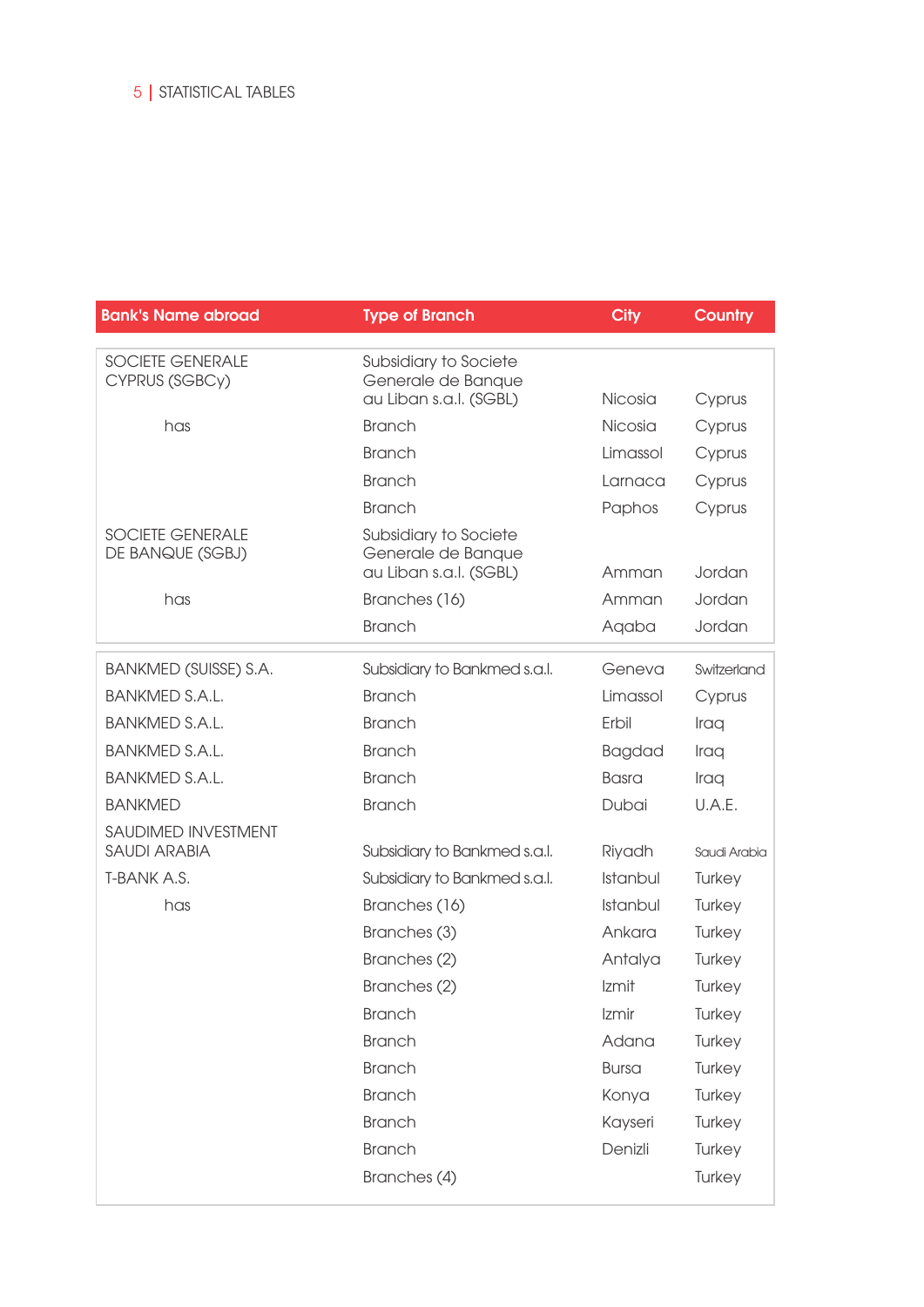| <b>Bank's Name abroad</b>                   | <b>Type of Branch</b>                                                 | <b>City</b>   | <b>Country</b> |
|---------------------------------------------|-----------------------------------------------------------------------|---------------|----------------|
| <b>SOCIETE GENERALE</b><br>CYPRUS (SGBCy)   | Subsidiary to Societe<br>Generale de Banque<br>au Liban s.a.l. (SGBL) | Nicosia       | Cyprus         |
| has                                         | <b>Branch</b>                                                         | Nicosia       | Cyprus         |
|                                             | <b>Branch</b>                                                         | Limassol      | Cyprus         |
|                                             | <b>Branch</b>                                                         | Larnaca       | Cyprus         |
|                                             | <b>Branch</b>                                                         | Paphos        | Cyprus         |
| <b>SOCIETE GENERALE</b><br>DE BANQUE (SGBJ) | Subsidiary to Societe<br>Generale de Banque<br>au Liban s.a.l. (SGBL) | Amman         | Jordan         |
| has                                         | Branches (16)                                                         | Amman         | Jordan         |
|                                             | <b>Branch</b>                                                         | Aqaba         | Jordan         |
| BANKMED (SUISSE) S.A.                       | Subsidiary to Bankmed s.a.l.                                          | Geneva        | Switzerland    |
| <b>BANKMED S.A.L.</b>                       | <b>Branch</b>                                                         | Limassol      | Cyprus         |
| <b>BANKMED S.A.L.</b>                       | <b>Branch</b>                                                         | Erbil         | Iraq           |
| <b>BANKMED S.A.L.</b>                       | <b>Branch</b>                                                         | <b>Bagdad</b> | Iraq           |
| <b>BANKMED S.A.L.</b>                       | <b>Branch</b>                                                         | <b>Basra</b>  | Iraq           |
| <b>BANKMED</b>                              | <b>Branch</b>                                                         | Dubai         | U.A.E.         |
| SAUDIMED INVESTMENT<br><b>SAUDI ARABIA</b>  | Subsidiary to Bankmed s.a.l.                                          | Riyadh        | Saudi Arabia   |
| T-BANK A.S.                                 | Subsidiary to Bankmed s.a.l.                                          | Istanbul      | Turkey         |
| has                                         | Branches (16)                                                         | Istanbul      | Turkey         |
|                                             | Branches (3)                                                          | Ankara        | Turkey         |
|                                             | Branches (2)                                                          | Antalya       | Turkey         |
|                                             | Branches (2)                                                          | Izmit         | Turkey         |
|                                             | <b>Branch</b>                                                         | Izmir         | Turkey         |
|                                             | <b>Branch</b>                                                         | Adana         | Turkey         |
|                                             | <b>Branch</b>                                                         | <b>Bursa</b>  | Turkey         |
|                                             | <b>Branch</b>                                                         | Konya         | Turkey         |
|                                             | <b>Branch</b>                                                         | Kayseri       | Turkey         |
|                                             | <b>Branch</b>                                                         | Denizli       | Turkey         |
|                                             | Branches (4)                                                          |               | Turkey         |
|                                             |                                                                       |               |                |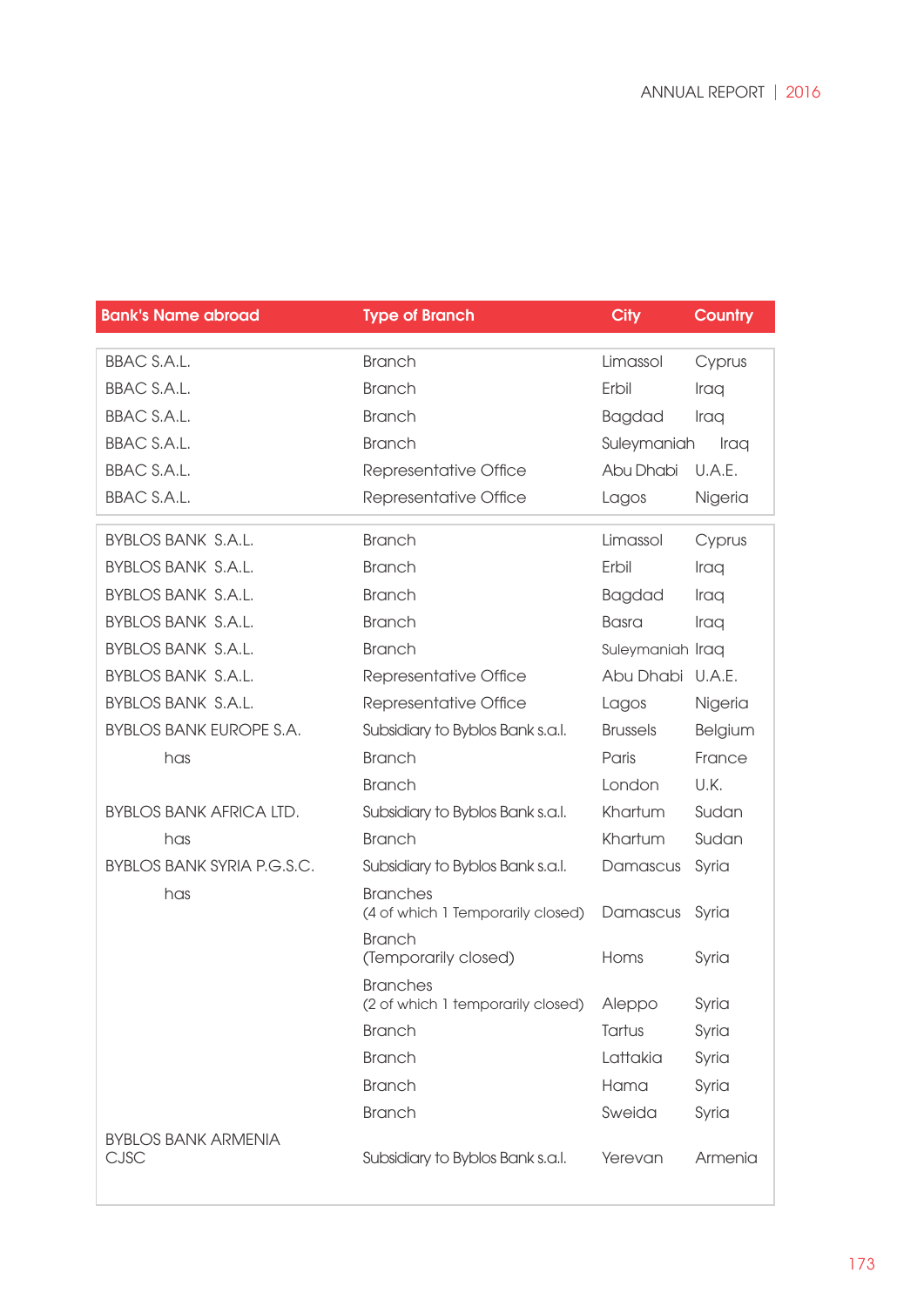Bank's Name abroad Type of Branch City Country

| <b>BBAC S.A.L.</b>                        | <b>Branch</b>                                        | Limassol         | Cyprus  |
|-------------------------------------------|------------------------------------------------------|------------------|---------|
| <b>BBAC S.A.L.</b>                        | <b>Branch</b>                                        | Erbil            | Iraq    |
| <b>BBAC S.A.L.</b>                        | <b>Branch</b>                                        | <b>Bagdad</b>    | Iraq    |
| <b>BBAC S.A.L.</b>                        | <b>Branch</b>                                        | Suleymaniah      | Iraq    |
| <b>BBAC S.A.L.</b>                        | Representative Office                                | Abu Dhabi        | U.A.E.  |
| <b>BBAC S.A.L.</b>                        | Representative Office                                | Lagos            | Nigeria |
| <b>BYBLOS BANK S.A.L.</b>                 | <b>Branch</b>                                        | Limassol         | Cyprus  |
| <b>BYBLOS BANK S.A.L.</b>                 | <b>Branch</b>                                        | Erbil            | Iraq    |
| <b>BYBLOS BANK S.A.L.</b>                 | <b>Branch</b>                                        | <b>Bagdad</b>    | Iraq    |
| <b>BYBLOS BANK S.A.L.</b>                 | <b>Branch</b>                                        | <b>Basra</b>     | Iraq    |
| <b>BYBLOS BANK S.A.L.</b>                 | <b>Branch</b>                                        | Suleymaniah Iraq |         |
| <b>BYBLOS BANK S.A.L.</b>                 | Representative Office                                | Abu Dhabi U.A.E. |         |
| <b>BYBLOS BANK S.A.L.</b>                 | Representative Office                                | Lagos            | Nigeria |
| <b>BYBLOS BANK EUROPE S.A.</b>            | Subsidiary to Byblos Bank s.a.l.                     | <b>Brussels</b>  | Belgium |
| has                                       | <b>Branch</b>                                        | Paris            | France  |
|                                           | <b>Branch</b>                                        | London           | U.K.    |
| <b>BYBLOS BANK AFRICA LTD.</b>            | Subsidiary to Byblos Bank s.a.l.                     | Khartum          | Sudan   |
| has                                       | <b>Branch</b>                                        | Khartum          | Sudan   |
| <b>BYBLOS BANK SYRIA P.G.S.C.</b>         | Subsidiary to Byblos Bank s.a.l.                     | Damascus         | Syria   |
| has                                       | <b>Branches</b><br>(4 of which 1 Temporarily closed) | Damascus         | Syria   |
|                                           | <b>Branch</b><br>(Temporarily closed)                | Homs             | Syria   |
|                                           | <b>Branches</b><br>(2 of which 1 temporarily closed) | Aleppo           | Syria   |
|                                           | <b>Branch</b>                                        | Tartus           | Syria   |
|                                           | <b>Branch</b>                                        | Lattakia         | Syria   |
|                                           | <b>Branch</b>                                        | Hama             | Syria   |
|                                           | <b>Branch</b>                                        | Sweida           | Syria   |
| <b>BYBLOS BANK ARMENIA</b><br><b>CJSC</b> | Subsidiary to Byblos Bank s.a.l.                     | Yerevan          | Armenia |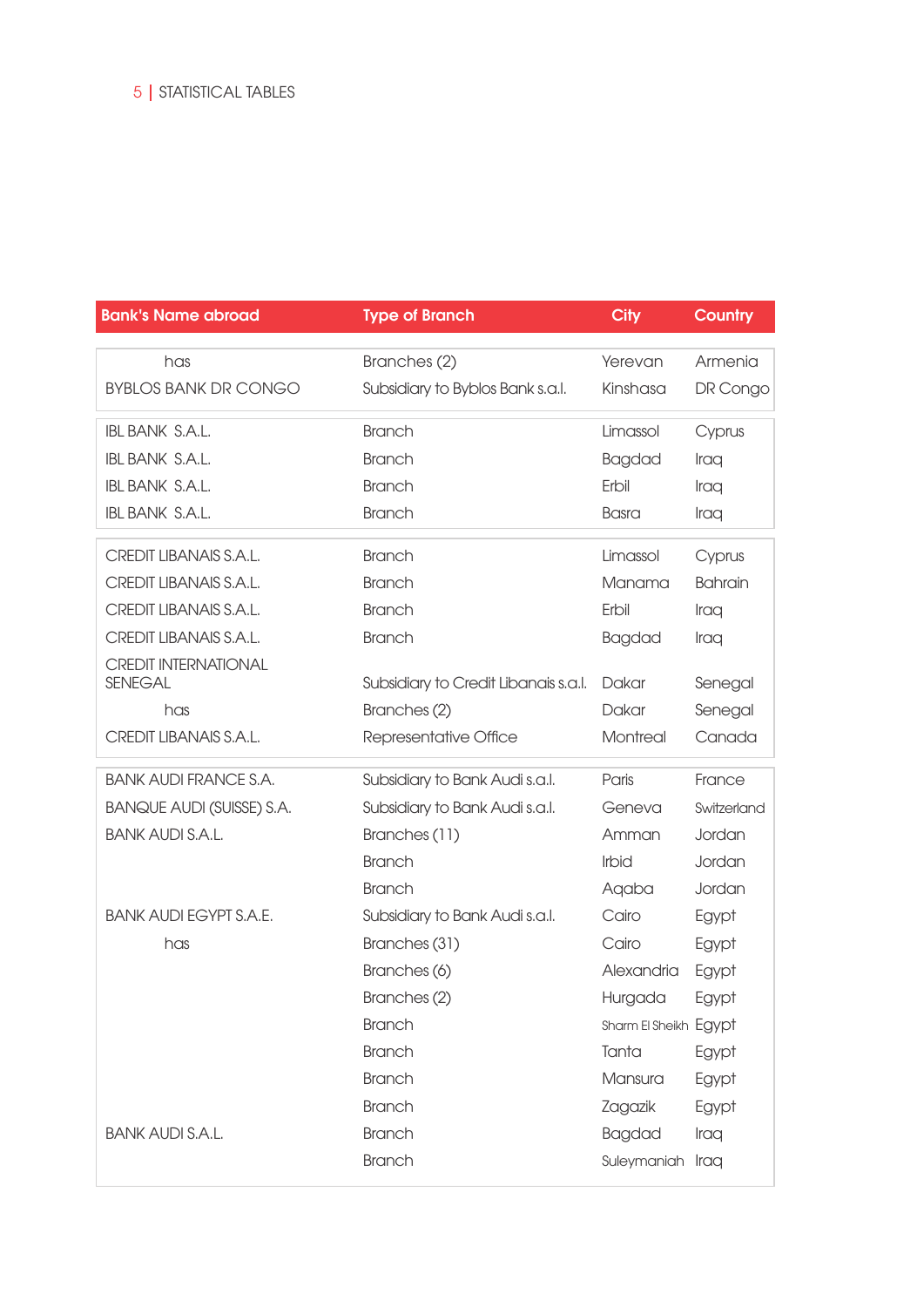#### **Bank's Name abroad Type of Branch City Country Country**

| has                              | Branches (2)                         | Yerevan               | Armenia        |
|----------------------------------|--------------------------------------|-----------------------|----------------|
| <b>BYBLOS BANK DR CONGO</b>      | Subsidiary to Byblos Bank s.a.l.     | Kinshasa              | DR Congo       |
| <b>IBL BANK S.A.L.</b>           | <b>Branch</b>                        | Limassol              | Cyprus         |
| <b>IBL BANK S.A.L.</b>           | <b>Branch</b>                        | <b>Bagdad</b>         | Iraq           |
| <b>IBL BANK S.A.L.</b>           | <b>Branch</b>                        | Erbil                 | Iraq           |
| <b>IBL BANK S.A.L.</b>           | <b>Branch</b>                        | <b>Basra</b>          | Iraq           |
| CREDIT LIBANAIS S.A.L.           | <b>Branch</b>                        | Limassol              | Cyprus         |
| CREDIT LIBANAIS S.A.L.           | <b>Branch</b>                        | Manama                | <b>Bahrain</b> |
| CREDIT LIBANAIS S.A.L.           | <b>Branch</b>                        | Erbil                 | Iraq           |
| CREDIT LIBANAIS S.A.L.           | <b>Branch</b>                        | <b>Bagdad</b>         | Iraq           |
| <b>CREDIT INTERNATIONAL</b>      |                                      |                       |                |
| <b>SENEGAL</b>                   | Subsidiary to Credit Libanais s.a.l. | Dakar                 | Senegal        |
| has                              | Branches (2)                         | Dakar                 | Senegal        |
| <b>CREDIT LIBANAIS S.A.L.</b>    | Representative Office                | Montreal              | Canada         |
|                                  |                                      |                       |                |
| <b>BANK AUDI FRANCE S.A.</b>     | Subsidiary to Bank Audi s.a.l.       | Paris                 | France         |
| <b>BANQUE AUDI (SUISSE) S.A.</b> | Subsidiary to Bank Audi s.a.l.       | Geneva                | Switzerland    |
| <b>BANK AUDI S.A.L.</b>          | Branches (11)                        | Amman                 | Jordan         |
|                                  | <b>Branch</b>                        | Irbid                 | Jordan         |
|                                  | <b>Branch</b>                        | Aqaba                 | Jordan         |
| <b>BANK AUDI EGYPT S.A.E.</b>    | Subsidiary to Bank Audi s.a.l.       | Cairo                 | Egypt          |
| has                              | Branches (31)                        | Cairo                 | Egypt          |
|                                  | Branches (6)                         | Alexandria            | Egypt          |
|                                  | Branches (2)                         | Hurgada               | Egypt          |
|                                  | <b>Branch</b>                        | Sharm El Sheikh Egypt |                |
|                                  | <b>Branch</b>                        | Tanta                 | Egypt          |
|                                  | <b>Branch</b>                        | Mansura               | Egypt          |
|                                  | <b>Branch</b>                        | Zagazik               | Egypt          |
| <b>BANK AUDI S.A.L.</b>          | <b>Branch</b>                        | <b>Bagdad</b>         | Iraq           |
|                                  | <b>Branch</b>                        | Suleymaniah Iraq      |                |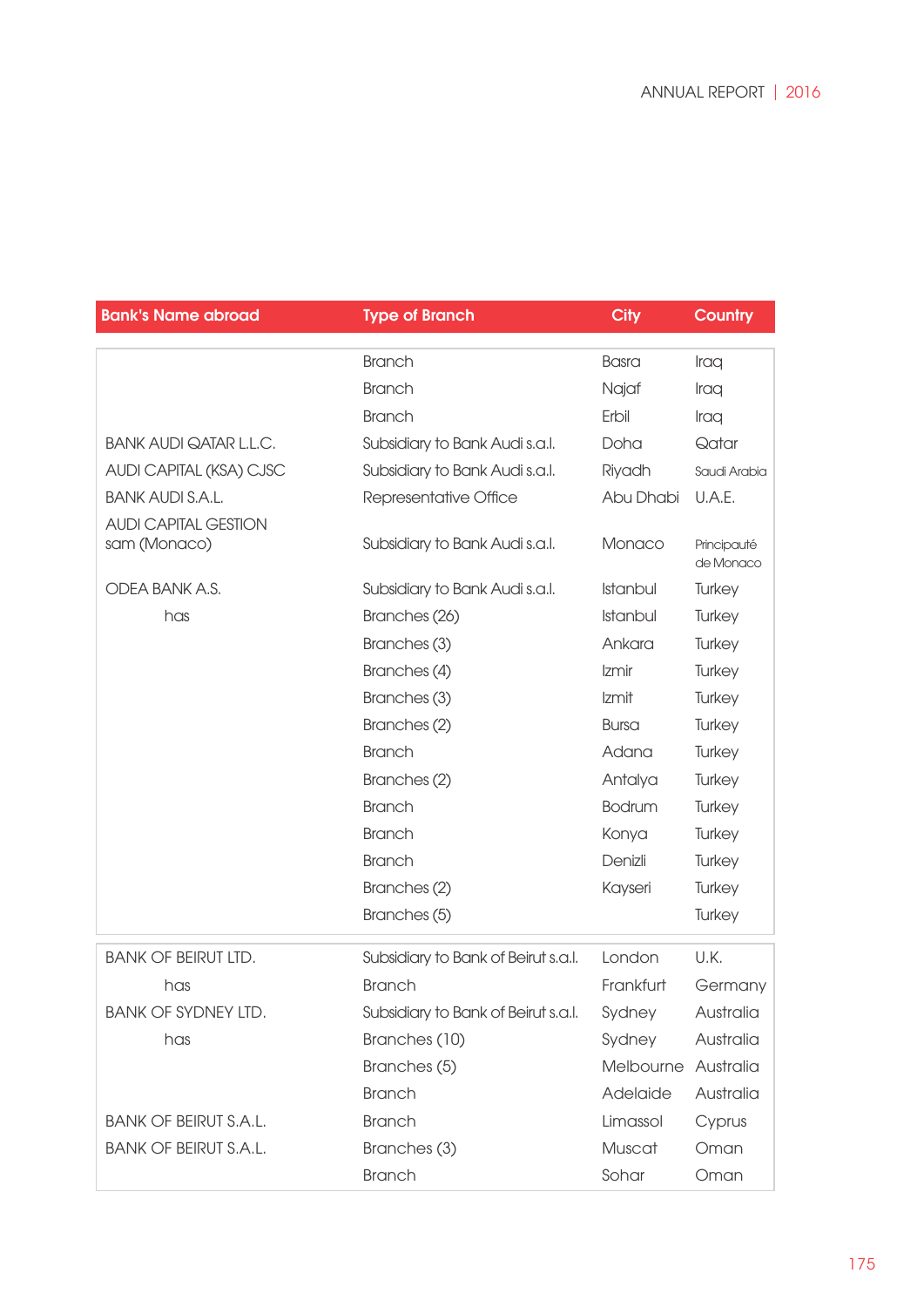| <b>Bank's Name abroad</b>     | <b>Type of Branch</b>               | <b>City</b>         | <b>Country</b>           |
|-------------------------------|-------------------------------------|---------------------|--------------------------|
|                               | <b>Branch</b>                       | <b>Basra</b>        | Iraq                     |
|                               | <b>Branch</b>                       | Najaf               | Iraq                     |
|                               | <b>Branch</b>                       | Erbil               | Iraq                     |
| <b>BANK AUDI QATAR L.L.C.</b> | Subsidiary to Bank Audi s.a.l.      | Doha                | Qatar                    |
| AUDI CAPITAL (KSA) CJSC       | Subsidiary to Bank Audi s.a.l.      | Riyadh              | Saudi Arabia             |
| <b>BANK AUDI S.A.L.</b>       | Representative Office               | Abu Dhabi           | U.A.E.                   |
| <b>AUDI CAPITAL GESTION</b>   |                                     |                     |                          |
| sam (Monaco)                  | Subsidiary to Bank Audi s.a.l.      | Monaco              | Principauté<br>de Monaco |
| ODEA BANK A.S.                | Subsidiary to Bank Audi s.a.l.      | Istanbul            | Turkey                   |
| has                           | Branches (26)                       | Istanbul            | Turkey                   |
|                               | Branches (3)                        | Ankara              | Turkey                   |
|                               | Branches (4)                        | Izmir               | Turkey                   |
|                               | Branches (3)                        | Izmit               | Turkey                   |
|                               | Branches (2)                        | <b>Bursa</b>        | Turkey                   |
|                               | <b>Branch</b>                       | Adana               | Turkey                   |
|                               | Branches (2)                        | Antalya             | Turkey                   |
|                               | <b>Branch</b>                       | <b>Bodrum</b>       | Turkey                   |
|                               | <b>Branch</b>                       | Konya               | Turkey                   |
|                               | <b>Branch</b>                       | Denizli             | Turkey                   |
|                               | Branches (2)                        | Kayseri             | Turkey                   |
|                               | Branches (5)                        |                     | Turkey                   |
| <b>BANK OF BEIRUT LTD.</b>    | Subsidiary to Bank of Beirut s.a.l. | London              | U.K.                     |
| has                           | <b>Branch</b>                       | Frankfurt           | Germany                  |
| <b>BANK OF SYDNEY LTD.</b>    | Subsidiary to Bank of Beirut s.a.l. | Sydney              | Australia                |
| has                           | Branches (10)                       | Sydney              | Australia                |
|                               | Branches (5)                        | Melbourne Australia |                          |
|                               | <b>Branch</b>                       | Adelaide            | Australia                |
| <b>BANK OF BEIRUT S.A.L.</b>  | <b>Branch</b>                       | Limassol            | Cyprus                   |
| <b>BANK OF BEIRUT S.A.L.</b>  | Branches (3)                        | Muscat              | Oman                     |
|                               | <b>Branch</b>                       | Sohar               | Oman                     |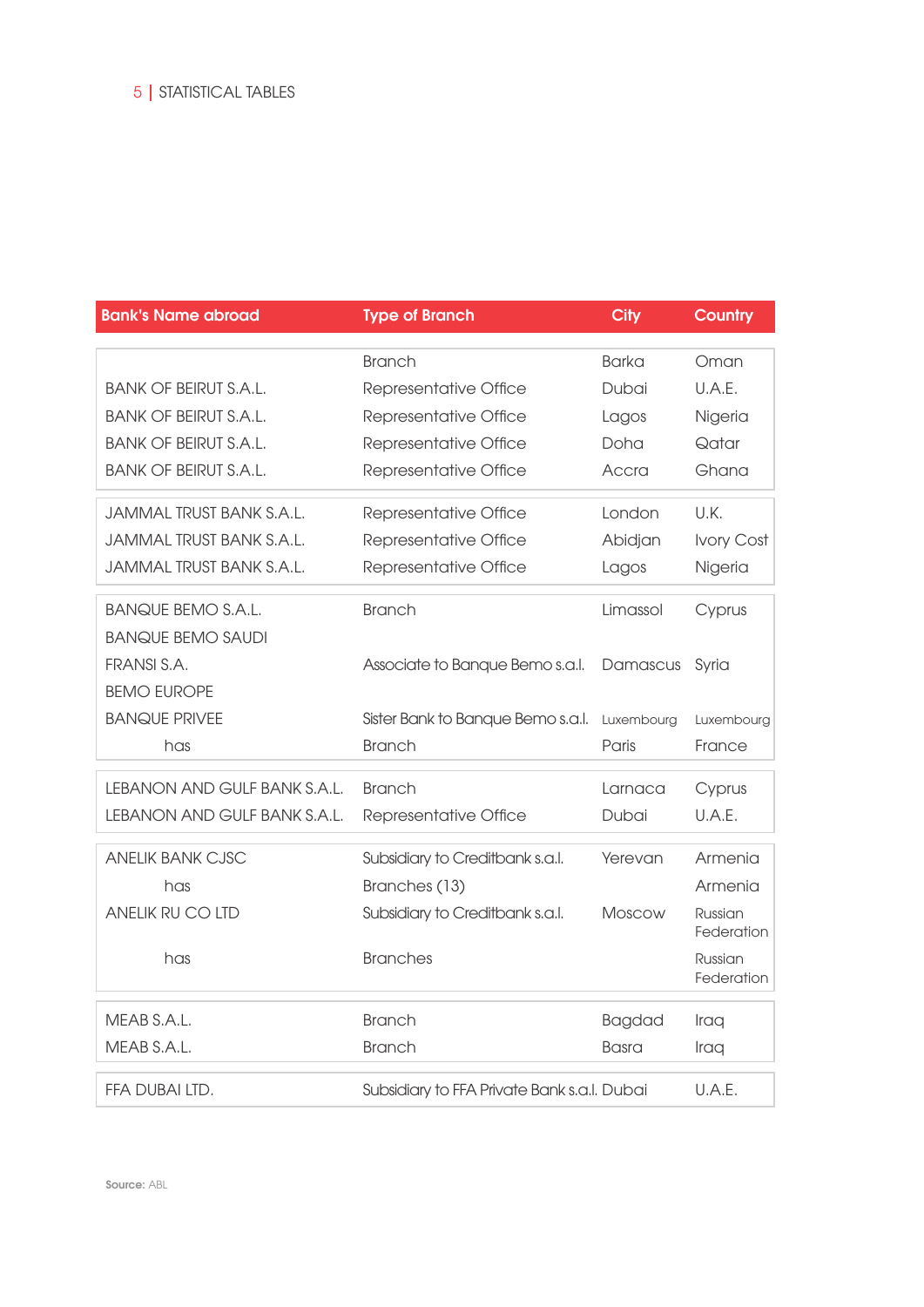| <b>Bank's Name abroad</b>       | <b>Type of Branch</b>                       | <b>City</b>   | <b>Country</b>        |
|---------------------------------|---------------------------------------------|---------------|-----------------------|
|                                 |                                             |               |                       |
|                                 | <b>Branch</b>                               | Barka         | Oman                  |
| <b>BANK OF BEIRUT S.A.L.</b>    | Representative Office                       | Dubai         | U.A.E.                |
| <b>BANK OF BEIRUT S.A.L.</b>    | Representative Office                       | Lagos         | Nigeria               |
| <b>BANK OF BEIRUT S.A.L.</b>    | Representative Office                       | Doha          | Qatar                 |
| <b>BANK OF BEIRUT S.A.L.</b>    | Representative Office                       | Accra         | Ghana                 |
| <b>JAMMAL TRUST BANK S.A.L.</b> | Representative Office                       | London        | U.K.                  |
| JAMMAL TRUST BANK S.A.L.        | Representative Office                       | Abidjan       | Ivory Cost            |
| JAMMAL TRUST BANK S.A.L.        | Representative Office                       | Lagos         | Nigeria               |
| <b>BANQUE BEMO S.A.L.</b>       | <b>Branch</b>                               | Limassol      | Cyprus                |
| <b>BANQUE BEMO SAUDI</b>        |                                             |               |                       |
| FRANSI S.A.                     | Associate to Banque Bemo s.a.l.             | Damascus      | Syria                 |
| <b>BEMO EUROPE</b>              |                                             |               |                       |
| <b>BANQUE PRIVEE</b>            | Sister Bank to Banque Bemo s.a.l.           | Luxembourg    | Luxembourg            |
| has                             | <b>Branch</b>                               | Paris         | France                |
| LEBANON AND GULF BANK S.A.L.    | <b>Branch</b>                               | Larnaca       | Cyprus                |
| LEBANON AND GULF BANK S.A.L.    | Representative Office                       | Dubai         | U.A.E.                |
| <b>ANELIK BANK CJSC</b>         | Subsidiary to Creditbank s.a.l.             | Yerevan       | Armenia               |
| has                             | Branches (13)                               |               | Armenia               |
| ANELIK RU CO LTD                | Subsidiary to Creditbank s.a.l.             | Moscow        | Russian<br>Federation |
| has                             | <b>Branches</b>                             |               | Russian<br>Federation |
| MEAB S.A.L.                     | <b>Branch</b>                               | <b>Bagdad</b> | Iraq                  |
| MEAB S.A.L.                     | <b>Branch</b>                               | Basra         | Iraq                  |
| FFA DUBAI LTD.                  | Subsidiary to FFA Private Bank s.a.l. Dubai |               | U.A.E.                |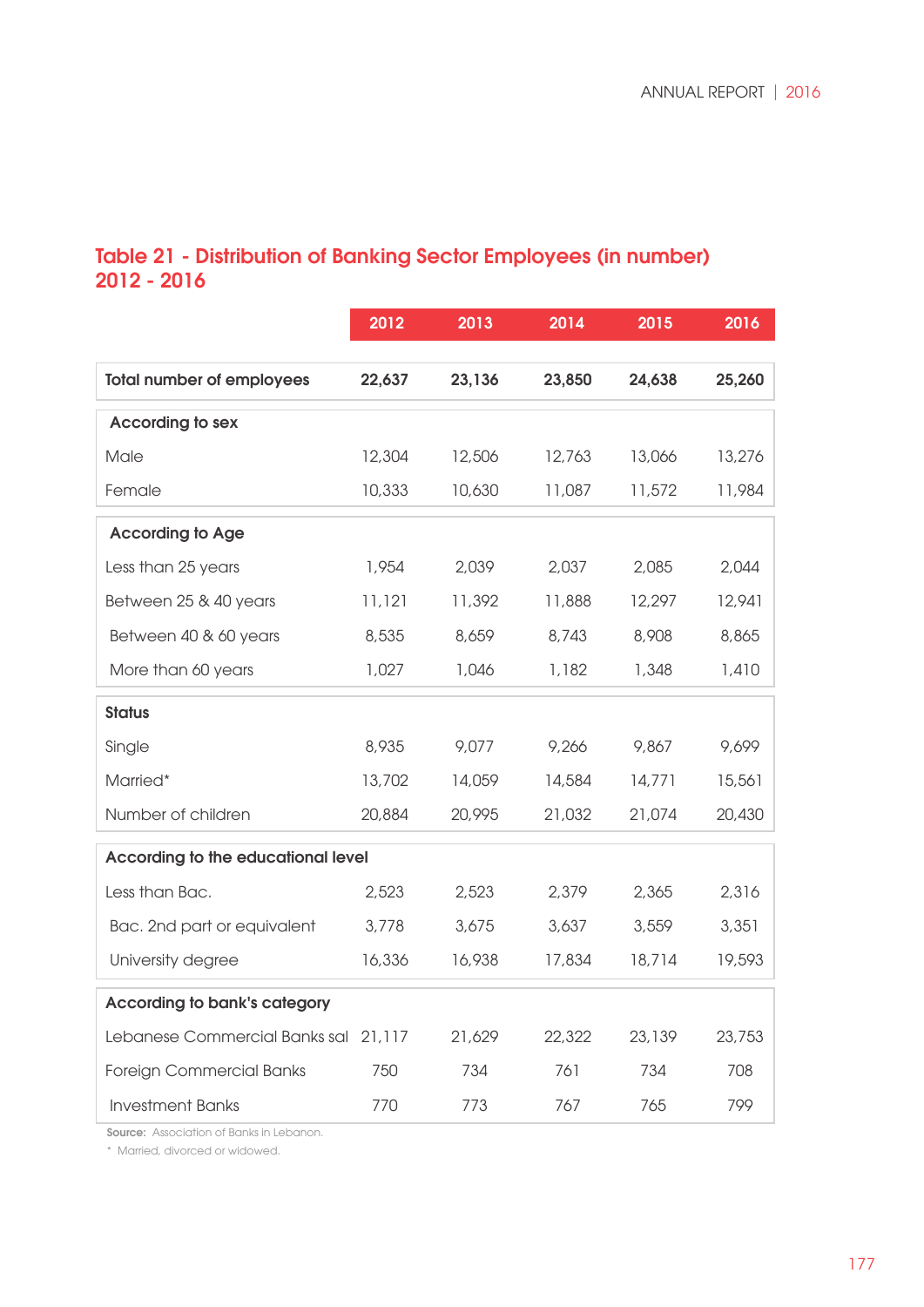## Table 21 - Distribution of Banking Sector Employees (in number) 2012 - 2016

|                                      | 2012   | 2013   | 2014   | 2015   | 2016   |
|--------------------------------------|--------|--------|--------|--------|--------|
| <b>Total number of employees</b>     | 22,637 | 23,136 | 23,850 | 24,638 | 25,260 |
| <b>According to sex</b>              |        |        |        |        |        |
| Male                                 | 12,304 | 12,506 | 12,763 | 13,066 | 13,276 |
| Female                               | 10,333 | 10,630 | 11,087 | 11,572 | 11,984 |
| <b>According to Age</b>              |        |        |        |        |        |
| Less than 25 years                   | 1,954  | 2,039  | 2,037  | 2,085  | 2,044  |
| Between 25 & 40 years                | 11,121 | 11,392 | 11,888 | 12,297 | 12,941 |
| Between 40 & 60 years                | 8,535  | 8,659  | 8,743  | 8,908  | 8,865  |
| More than 60 years                   | 1,027  | 1,046  | 1,182  | 1,348  | 1,410  |
| <b>Status</b>                        |        |        |        |        |        |
| Single                               | 8,935  | 9,077  | 9,266  | 9,867  | 9,699  |
| Married*                             | 13,702 | 14,059 | 14,584 | 14,771 | 15,561 |
| Number of children                   | 20,884 | 20,995 | 21,032 | 21,074 | 20,430 |
| According to the educational level   |        |        |        |        |        |
| Less than Bac.                       | 2,523  | 2,523  | 2,379  | 2,365  | 2,316  |
| Bac. 2nd part or equivalent          | 3,778  | 3,675  | 3,637  | 3,559  | 3,351  |
| University degree                    | 16,336 | 16,938 | 17,834 | 18,714 | 19,593 |
| <b>According to bank's category</b>  |        |        |        |        |        |
| Lebanese Commercial Banks sal 21,117 |        | 21,629 | 22,322 | 23,139 | 23,753 |
| <b>Foreign Commercial Banks</b>      | 750    | 734    | 761    | 734    | 708    |
| <b>Investment Banks</b>              | 770    | 773    | 767    | 765    | 799    |

**Source:** Association of Banks in Lebanon.

\* Married, divorced or widowed.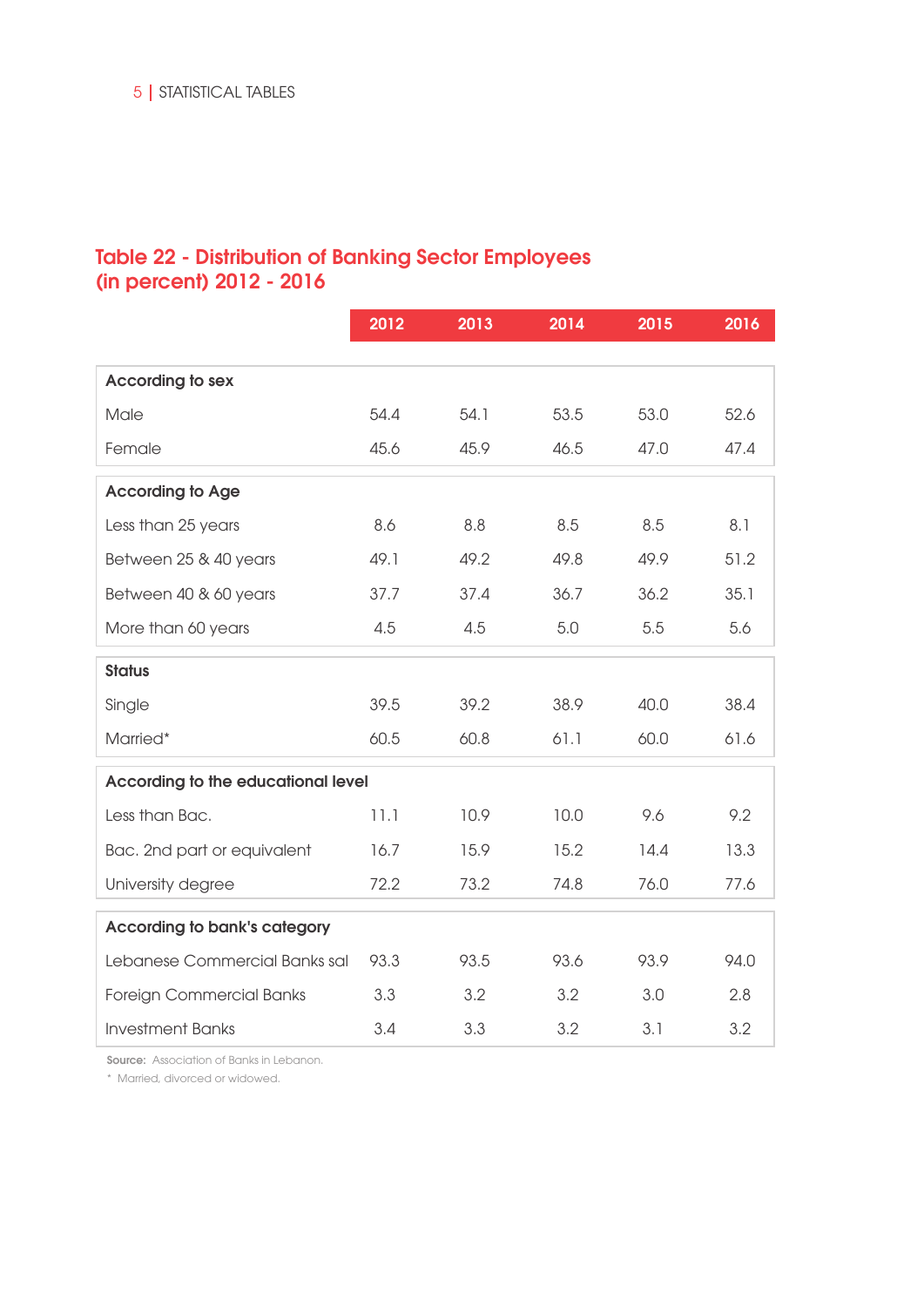## Table 22 - Distribution of Banking Sector Employees (in percent) 2012 - 2016

|                                     | 2012 | 2013 | 2014 | 2015 | 2016 |
|-------------------------------------|------|------|------|------|------|
|                                     |      |      |      |      |      |
| <b>According to sex</b>             |      |      |      |      |      |
| Male                                | 54.4 | 54.1 | 53.5 | 53.0 | 52.6 |
| Female                              | 45.6 | 45.9 | 46.5 | 47.0 | 47.4 |
| <b>According to Age</b>             |      |      |      |      |      |
| Less than 25 years                  | 8.6  | 8.8  | 8.5  | 8.5  | 8.1  |
| Between 25 & 40 years               | 49.1 | 49.2 | 49.8 | 49.9 | 51.2 |
| Between 40 & 60 years               | 37.7 | 37.4 | 36.7 | 36.2 | 35.1 |
| More than 60 years                  | 4.5  | 4.5  | 5.0  | 5.5  | 5.6  |
| <b>Status</b>                       |      |      |      |      |      |
| Single                              | 39.5 | 39.2 | 38.9 | 40.0 | 38.4 |
| Married*                            | 60.5 | 60.8 | 61.1 | 60.0 | 61.6 |
| According to the educational level  |      |      |      |      |      |
| Less than Bac.                      | 11.1 | 10.9 | 10.0 | 9.6  | 9.2  |
| Bac. 2nd part or equivalent         | 16.7 | 15.9 | 15.2 | 14.4 | 13.3 |
| University degree                   | 72.2 | 73.2 | 74.8 | 76.0 | 77.6 |
| <b>According to bank's category</b> |      |      |      |      |      |
| Lebanese Commercial Banks sal       | 93.3 | 93.5 | 93.6 | 93.9 | 94.0 |
| <b>Foreign Commercial Banks</b>     | 3.3  | 3.2  | 3.2  | 3.0  | 2.8  |
| <b>Investment Banks</b>             | 3.4  | 3.3  | 3.2  | 3.1  | 3.2  |

**Source:** Association of Banks in Lebanon.

\* Married, divorced or widowed.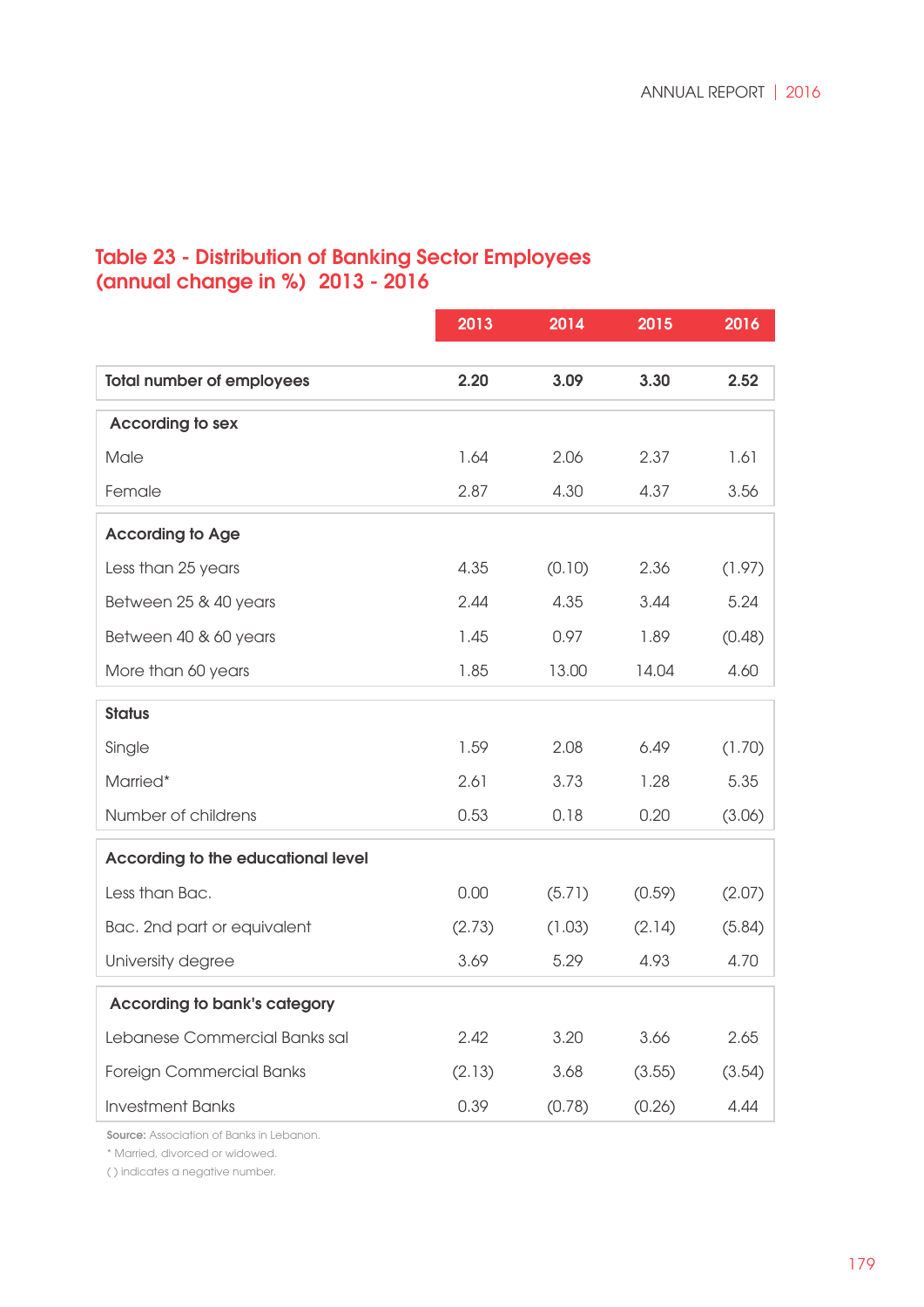## Table 23 - Distribution of Banking Sector Employees (annual change in %) 2013 - 2016

|                                           | 2013   | 2014   | 2015   | 2016   |
|-------------------------------------------|--------|--------|--------|--------|
|                                           |        |        |        |        |
| <b>Total number of employees</b>          | 2.20   | 3.09   | 3.30   | 2.52   |
| According to sex                          |        |        |        |        |
| Male                                      | 1.64   | 2.06   | 2.37   | 1.61   |
| Female                                    | 2.87   | 4.30   | 4.37   | 3.56   |
| <b>According to Age</b>                   |        |        |        |        |
| Less than 25 years                        | 4.35   | (0.10) | 2.36   | (1.97) |
| Between 25 & 40 years                     | 2.44   | 4.35   | 3.44   | 5.24   |
| Between 40 & 60 years                     | 1.45   | 0.97   | 1.89   | (0.48) |
| More than 60 years                        | 1.85   | 13.00  | 14.04  | 4.60   |
| <b>Status</b>                             |        |        |        |        |
| Single                                    | 1.59   | 2.08   | 6.49   | (1.70) |
| Married*                                  | 2.61   | 3.73   | 1.28   | 5.35   |
| Number of childrens                       | 0.53   | 0.18   | 0.20   | (3.06) |
| <b>According to the educational level</b> |        |        |        |        |
| Less than Bac.                            | 0.00   | (5.71) | (0.59) | (2.07) |
| Bac. 2nd part or equivalent               | (2.73) | (1.03) | (2.14) | (5.84) |
| University degree                         | 3.69   | 5.29   | 4.93   | 4.70   |
| <b>According to bank's category</b>       |        |        |        |        |
| Lebanese Commercial Banks sal             | 2.42   | 3.20   | 3.66   | 2.65   |
| Foreign Commercial Banks                  | (2.13) | 3.68   | (3.55) | (3.54) |
| <b>Investment Banks</b>                   | 0.39   | (0.78) | (0.26) | 4.44   |

Source: Association of Banks in Lebanon.

\* Married, divorced or widowed.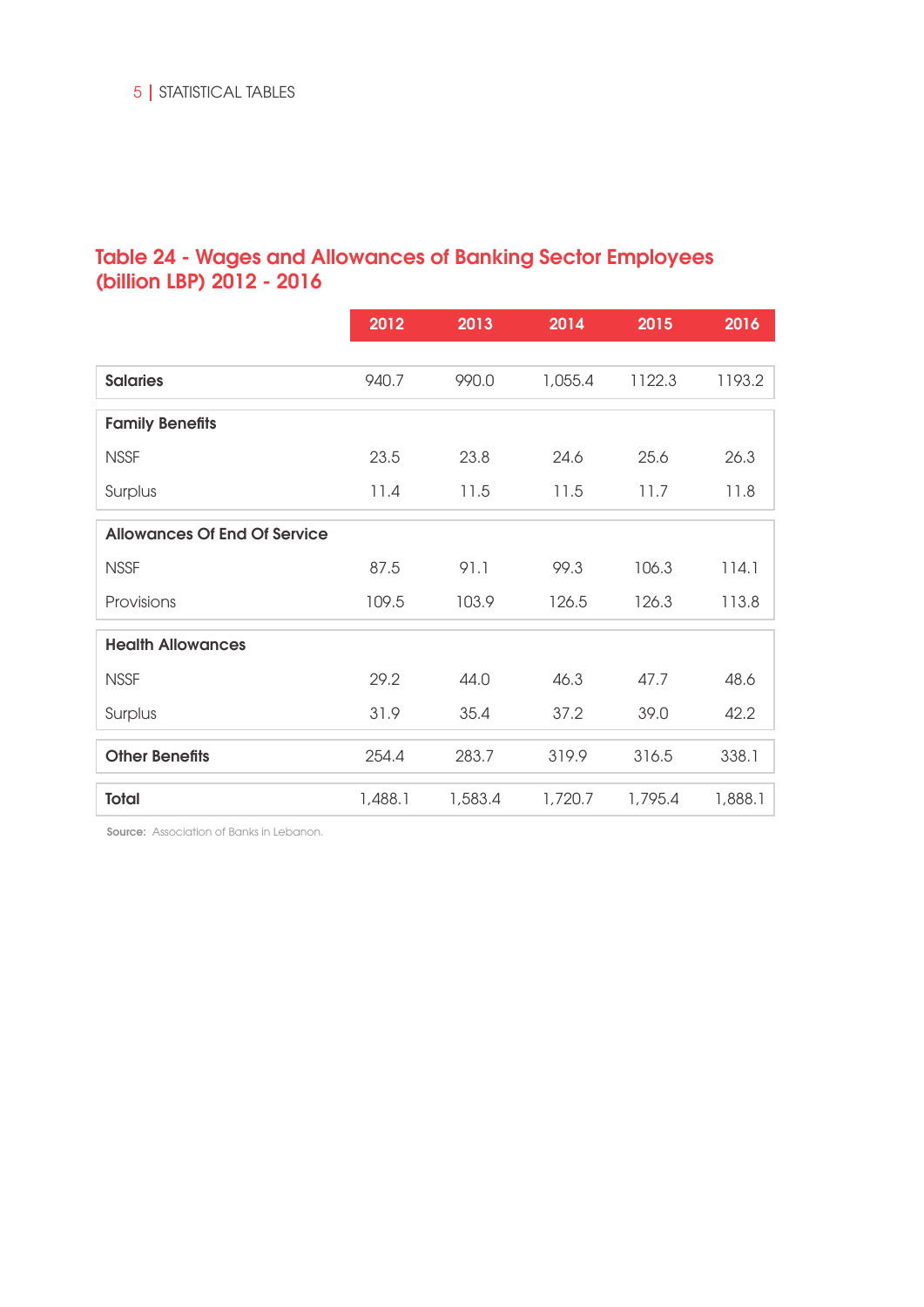## Table 24 - Wages and Allowances of Banking Sector Employees (billion LBP) 2012 - 2016

|                                     | 2012    | 2013    | 2014    | 2015    | 2016    |
|-------------------------------------|---------|---------|---------|---------|---------|
|                                     |         |         |         |         |         |
| <b>Salaries</b>                     | 940.7   | 990.0   | 1,055.4 | 1122.3  | 1193.2  |
| <b>Family Benefits</b>              |         |         |         |         |         |
| <b>NSSF</b>                         | 23.5    | 23.8    | 24.6    | 25.6    | 26.3    |
| Surplus                             | 11.4    | 11.5    | 11.5    | 11.7    | 11.8    |
| <b>Allowances Of End Of Service</b> |         |         |         |         |         |
| <b>NSSF</b>                         | 87.5    | 91.1    | 99.3    | 106.3   | 114.1   |
| Provisions                          | 109.5   | 103.9   | 126.5   | 126.3   | 113.8   |
| <b>Health Allowances</b>            |         |         |         |         |         |
| <b>NSSF</b>                         | 29.2    | 44.0    | 46.3    | 47.7    | 48.6    |
| Surplus                             | 31.9    | 35.4    | 37.2    | 39.0    | 42.2    |
| <b>Other Benefits</b>               | 254.4   | 283.7   | 319.9   | 316.5   | 338.1   |
| <b>Total</b>                        | 1,488.1 | 1,583.4 | 1,720.7 | 1,795.4 | 1,888.1 |

Source: Association of Banks in Lebanon.